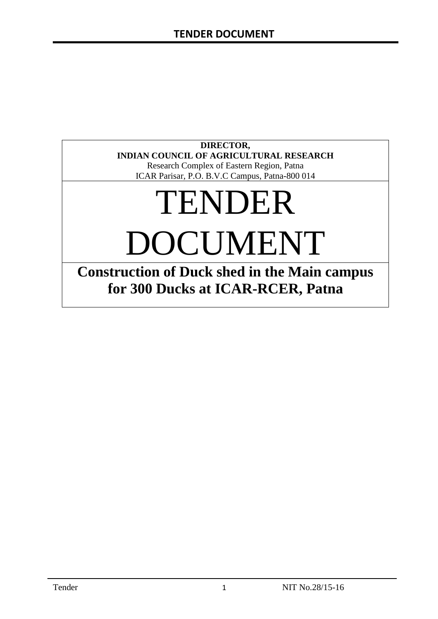### **DIRECTOR, INDIAN COUNCIL OF AGRICULTURAL RESEARCH**

Research Complex of Eastern Region, Patna ICAR Parisar, P.O. B.V.C Campus, Patna-800 014

# TENDER DOCUMENT

**Construction of Duck shed in the Main campus for 300 Ducks at ICAR-RCER, Patna**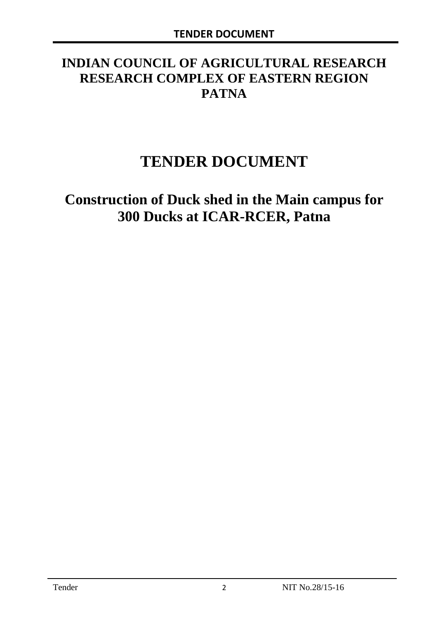# **INDIAN COUNCIL OF AGRICULTURAL RESEARCH RESEARCH COMPLEX OF EASTERN REGION PATNA**

# **TENDER DOCUMENT**

# **Construction of Duck shed in the Main campus for 300 Ducks at ICAR-RCER, Patna**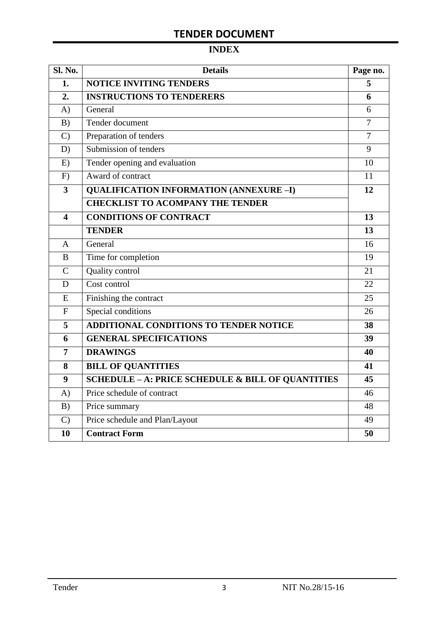# **INDEX**

| Sl. No.                 | <b>Details</b>                                    | Page no.       |
|-------------------------|---------------------------------------------------|----------------|
| 1.                      | <b>NOTICE INVITING TENDERS</b>                    | 5              |
| 2.                      | <b>INSTRUCTIONS TO TENDERERS</b>                  | 6              |
| A)                      | General                                           | 6              |
| B)                      | Tender document                                   | 7              |
| $\mathcal{C}$           | Preparation of tenders                            | $\overline{7}$ |
| D)                      | Submission of tenders                             | 9              |
| E)                      | Tender opening and evaluation                     | 10             |
| F)                      | Award of contract                                 | 11             |
| $\overline{\mathbf{3}}$ | <b>QUALIFICATION INFORMATION (ANNEXURE-I)</b>     | 12             |
|                         | <b>CHECKLIST TO ACOMPANY THE TENDER</b>           |                |
| 4                       | <b>CONDITIONS OF CONTRACT</b>                     | 13             |
|                         | <b>TENDER</b>                                     | 13             |
| $\overline{A}$          | General                                           | 16             |
| B                       | Time for completion                               | 19             |
| $\overline{C}$          | Quality control                                   | 21             |
| D                       | Cost control                                      | 22             |
| E                       | Finishing the contract                            | 25             |
| $\mathbf{F}$            | Special conditions                                | 26             |
| 5                       | <b>ADDITIONAL CONDITIONS TO TENDER NOTICE</b>     | 38             |
| 6                       | <b>GENERAL SPECIFICATIONS</b>                     | 39             |
| $\overline{7}$          | <b>DRAWINGS</b>                                   | 40             |
| 8                       | <b>BILL OF QUANTITIES</b>                         | 41             |
| 9                       | SCHEDULE - A: PRICE SCHEDULE & BILL OF QUANTITIES | 45             |
| A)                      | Price schedule of contract                        | 46             |
| B)                      | Price summary                                     | 48             |
| $\mathcal{C}$           | Price schedule and Plan/Layout                    | 49             |
| 10                      | <b>Contract Form</b>                              | 50             |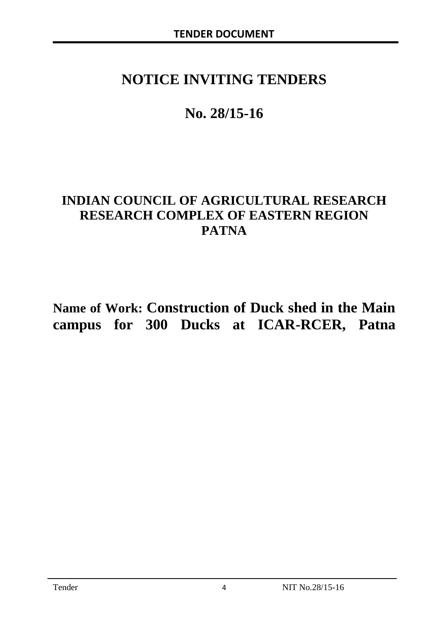# **NOTICE INVITING TENDERS**

# **No. 28/15-16**

# **INDIAN COUNCIL OF AGRICULTURAL RESEARCH RESEARCH COMPLEX OF EASTERN REGION PATNA**

**Name of Work: Construction of Duck shed in the Main campus for 300 Ducks at ICAR-RCER, Patna**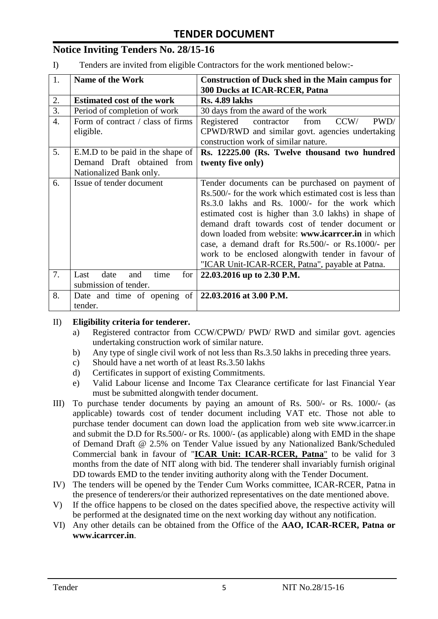# **Notice Inviting Tenders No. 28/15-16**

I) Tenders are invited from eligible Contractors for the work mentioned below:-

| 1. | <b>Name of the Work</b>                                | <b>Construction of Duck shed in the Main campus for</b> |  |  |  |
|----|--------------------------------------------------------|---------------------------------------------------------|--|--|--|
|    |                                                        | <b>300 Ducks at ICAR-RCER, Patna</b>                    |  |  |  |
| 2. | <b>Estimated cost of the work</b>                      | <b>Rs. 4.89 lakhs</b>                                   |  |  |  |
| 3. | Period of completion of work                           | 30 days from the award of the work                      |  |  |  |
| 4. | Form of contract / class of firms                      | PWD/<br>Registered<br>contractor<br>from<br>CCW/        |  |  |  |
|    | eligible.                                              | CPWD/RWD and similar govt. agencies undertaking         |  |  |  |
|    |                                                        | construction work of similar nature.                    |  |  |  |
| 5. | E.M.D to be paid in the shape of                       | Rs. 12225.00 (Rs. Twelve thousand two hundred           |  |  |  |
|    | Demand Draft obtained from                             | twenty five only)                                       |  |  |  |
|    | Nationalized Bank only.                                |                                                         |  |  |  |
| 6. | Issue of tender document                               | Tender documents can be purchased on payment of         |  |  |  |
|    |                                                        | Rs.500/- for the work which estimated cost is less than |  |  |  |
|    |                                                        | Rs.3.0 lakhs and Rs. 1000/- for the work which          |  |  |  |
|    |                                                        | estimated cost is higher than 3.0 lakhs) in shape of    |  |  |  |
|    |                                                        | demand draft towards cost of tender document or         |  |  |  |
|    |                                                        | down loaded from website: www.icarreer.in in which      |  |  |  |
|    |                                                        | case, a demand draft for Rs.500/- or Rs.1000/- per      |  |  |  |
|    |                                                        | work to be enclosed alongwith tender in favour of       |  |  |  |
|    |                                                        | "ICAR Unit-ICAR-RCER, Patna", payable at Patna.         |  |  |  |
| 7. | date<br>time<br>Last<br>and<br>for                     | 22.03.2016 up to 2.30 P.M.                              |  |  |  |
|    | submission of tender.                                  |                                                         |  |  |  |
| 8. | Date and time of opening of $ 22.03.2016$ at 3.00 P.M. |                                                         |  |  |  |
|    | tender.                                                |                                                         |  |  |  |

#### II) **Eligibility criteria for tenderer.**

- a) Registered contractor from CCW/CPWD/ PWD/ RWD and similar govt. agencies undertaking construction work of similar nature.
- b) Any type of single civil work of not less than Rs.3.50 lakhs in preceding three years.
- c) Should have a net worth of at least Rs.3.50 lakhs
- d) Certificates in support of existing Commitments.
- e) Valid Labour license and Income Tax Clearance certificate for last Financial Year must be submitted alongwith tender document.
- III) To purchase tender documents by paying an amount of Rs. 500/- or Rs. 1000/- (as applicable) towards cost of tender document including VAT etc. Those not able to purchase tender document can down load the application from web site www.icarrcer.in and submit the D.D for Rs.500/- or Rs. 1000/- (as applicable) along with EMD in the shape of Demand Draft @ 2.5% on Tender Value issued by any Nationalized Bank/Scheduled Commercial bank in favour of "**ICAR Unit: ICAR-RCER, Patna**" to be valid for 3 months from the date of NIT along with bid. The tenderer shall invariably furnish original DD towards EMD to the tender inviting authority along with the Tender Document.
- IV) The tenders will be opened by the Tender Cum Works committee, ICAR-RCER, Patna in the presence of tenderers/or their authorized representatives on the date mentioned above.
- V) If the office happens to be closed on the dates specified above, the respective activity will be performed at the designated time on the next working day without any notification.
- VI) Any other details can be obtained from the Office of the **AAO, ICAR-RCER, Patna or www.icarrcer.in**.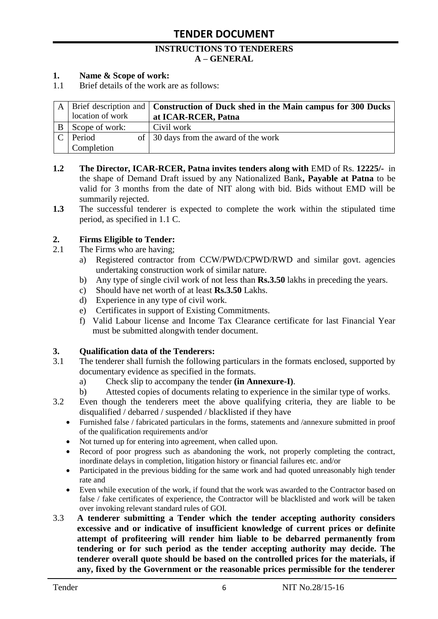#### **INSTRUCTIONS TO TENDERERS A – GENERAL**

#### **1. Name & Scope of work:**

1.1 Brief details of the work are as follows:

|                  | A   Brief description and   Construction of Duck shed in the Main campus for 300 Ducks |
|------------------|----------------------------------------------------------------------------------------|
| location of work | at ICAR-RCER, Patna                                                                    |
| Scope of work:   | Civil work                                                                             |
| Period           | of 30 days from the award of the work                                                  |
| Completion       |                                                                                        |

- **1.2 The Director, ICAR-RCER, Patna invites tenders along with** EMD of Rs. **12225/-** in the shape of Demand Draft issued by any Nationalized Bank**, Payable at Patna** to be valid for 3 months from the date of NIT along with bid. Bids without EMD will be summarily rejected.
- **1.3** The successful tenderer is expected to complete the work within the stipulated time period, as specified in 1.1 C.

#### **2. Firms Eligible to Tender:**

- 2.1 The Firms who are having;
	- a) Registered contractor from CCW/PWD/CPWD/RWD and similar govt. agencies undertaking construction work of similar nature.
	- b) Any type of single civil work of not less than **Rs.3.50** lakhs in preceding the years.
	- c) Should have net worth of at least **Rs.3.50** Lakhs.
	- d) Experience in any type of civil work.
	- e) Certificates in support of Existing Commitments.
	- f) Valid Labour license and Income Tax Clearance certificate for last Financial Year must be submitted alongwith tender document.

#### **3. Qualification data of the Tenderers:**

- 3.1 The tenderer shall furnish the following particulars in the formats enclosed, supported by documentary evidence as specified in the formats.
	- a) Check slip to accompany the tender **(in Annexure-I)**.
	- b) Attested copies of documents relating to experience in the similar type of works.
- 3.2 Even though the tenderers meet the above qualifying criteria, they are liable to be disqualified / debarred / suspended / blacklisted if they have
	- Furnished false / fabricated particulars in the forms, statements and /annexure submitted in proof of the qualification requirements and/or
	- Not turned up for entering into agreement, when called upon.
	- Record of poor progress such as abandoning the work, not properly completing the contract, inordinate delays in completion, litigation history or financial failures etc. and/or
	- Participated in the previous bidding for the same work and had quoted unreasonably high tender rate and
	- Even while execution of the work, if found that the work was awarded to the Contractor based on false / fake certificates of experience, the Contractor will be blacklisted and work will be taken over invoking relevant standard rules of GOI.
- 3.3 **A tenderer submitting a Tender which the tender accepting authority considers excessive and or indicative of insufficient knowledge of current prices or definite attempt of profiteering will render him liable to be debarred permanently from tendering or for such period as the tender accepting authority may decide. The tenderer overall quote should be based on the controlled prices for the materials, if any, fixed by the Government or the reasonable prices permissible for the tenderer**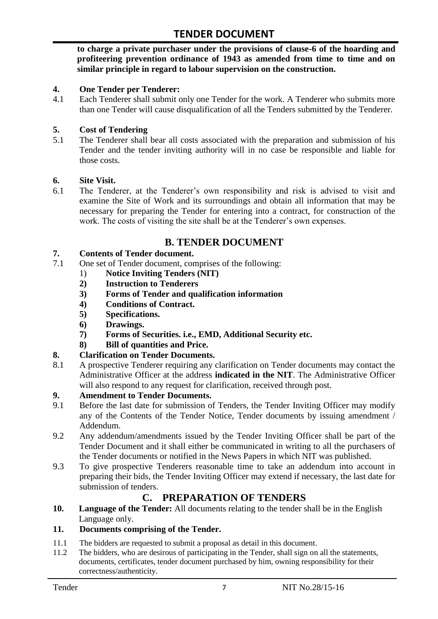**to charge a private purchaser under the provisions of clause-6 of the hoarding and profiteering prevention ordinance of 1943 as amended from time to time and on similar principle in regard to labour supervision on the construction.**

#### **4. One Tender per Tenderer:**

4.1 Each Tenderer shall submit only one Tender for the work. A Tenderer who submits more than one Tender will cause disqualification of all the Tenders submitted by the Tenderer.

#### **5. Cost of Tendering**

5.1 The Tenderer shall bear all costs associated with the preparation and submission of his Tender and the tender inviting authority will in no case be responsible and liable for those costs.

#### **6. Site Visit.**

6.1 The Tenderer, at the Tenderer"s own responsibility and risk is advised to visit and examine the Site of Work and its surroundings and obtain all information that may be necessary for preparing the Tender for entering into a contract, for construction of the work. The costs of visiting the site shall be at the Tenderer's own expenses.

## **B. TENDER DOCUMENT**

#### **7. Contents of Tender document.**

- 7.1 One set of Tender document, comprises of the following:
	- 1) **Notice Inviting Tenders (NIT)**
	- **2) Instruction to Tenderers**
	- **3) Forms of Tender and qualification information**
	- **4) Conditions of Contract.**
	- **5) Specifications.**
	- **6) Drawings.**
	- **7) Forms of Securities. i.e., EMD, Additional Security etc.**
	- **8) Bill of quantities and Price.**

#### **8. Clarification on Tender Documents.**

8.1 A prospective Tenderer requiring any clarification on Tender documents may contact the Administrative Officer at the address **indicated in the NIT**. The Administrative Officer will also respond to any request for clarification, received through post.

#### **9. Amendment to Tender Documents.**

- 9.1 Before the last date for submission of Tenders, the Tender Inviting Officer may modify any of the Contents of the Tender Notice, Tender documents by issuing amendment / Addendum.
- 9.2 Any addendum/amendments issued by the Tender Inviting Officer shall be part of the Tender Document and it shall either be communicated in writing to all the purchasers of the Tender documents or notified in the News Papers in which NIT was published.
- 9.3 To give prospective Tenderers reasonable time to take an addendum into account in preparing their bids, the Tender Inviting Officer may extend if necessary, the last date for submission of tenders.

## **C. PREPARATION OF TENDERS**

**10. Language of the Tender:** All documents relating to the tender shall be in the English Language only.

#### **11. Documents comprising of the Tender.**

- 11.1 The bidders are requested to submit a proposal as detail in this document.<br>11.2 The bidders, who are desirous of participating in the Tender, shall sign on
- The bidders, who are desirous of participating in the Tender, shall sign on all the statements, documents, certificates, tender document purchased by him, owning responsibility for their correctness/authenticity.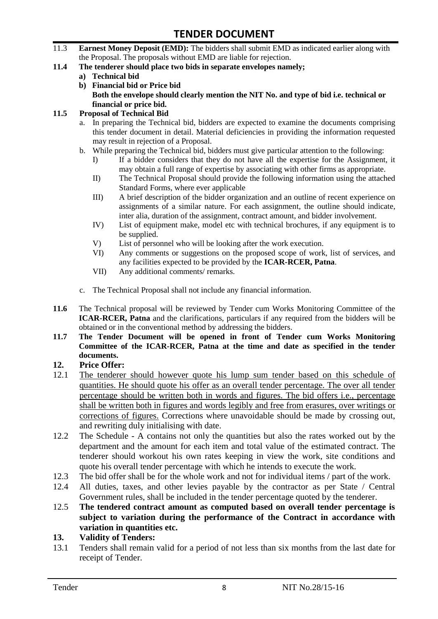- 11.3 **Earnest Money Deposit (EMD):** The bidders shall submit EMD as indicated earlier along with the Proposal. The proposals without EMD are liable for rejection.
- **11.4 The tenderer should place two bids in separate envelopes namely;**
	- **a) Technical bid**
	- **b) Financial bid or Price bid Both the envelope should clearly mention the NIT No. and type of bid i.e. technical or financial or price bid.**

#### **11.5 Proposal of Technical Bid**

- a. In preparing the Technical bid, bidders are expected to examine the documents comprising this tender document in detail. Material deficiencies in providing the information requested may result in rejection of a Proposal.
- b. While preparing the Technical bid, bidders must give particular attention to the following:
	- I) If a bidder considers that they do not have all the expertise for the Assignment, it may obtain a full range of expertise by associating with other firms as appropriate.
	- II) The Technical Proposal should provide the following information using the attached Standard Forms, where ever applicable
	- III) A brief description of the bidder organization and an outline of recent experience on assignments of a similar nature. For each assignment, the outline should indicate, inter alia, duration of the assignment, contract amount, and bidder involvement.
	- IV) List of equipment make, model etc with technical brochures, if any equipment is to be supplied.
	- V) List of personnel who will be looking after the work execution.
	- VI) Any comments or suggestions on the proposed scope of work, list of services, and any facilities expected to be provided by the **ICAR-RCER, Patna**.
	- VII) Any additional comments/ remarks.
- c. The Technical Proposal shall not include any financial information.
- **11.6** The Technical proposal will be reviewed by Tender cum Works Monitoring Committee of the **ICAR-RCER, Patna** and the clarifications, particulars if any required from the bidders will be obtained or in the conventional method by addressing the bidders.
- **11.7 The Tender Document will be opened in front of Tender cum Works Monitoring Committee of the ICAR-RCER, Patna at the time and date as specified in the tender documents.**

#### **12. Price Offer:**

- 12.1 The tenderer should however quote his lump sum tender based on this schedule of quantities. He should quote his offer as an overall tender percentage. The over all tender percentage should be written both in words and figures. The bid offers i.e., percentage shall be written both in figures and words legibly and free from erasures, over writings or corrections of figures. Corrections where unavoidable should be made by crossing out, and rewriting duly initialising with date.
- 12.2 The Schedule A contains not only the quantities but also the rates worked out by the department and the amount for each item and total value of the estimated contract. The tenderer should workout his own rates keeping in view the work, site conditions and quote his overall tender percentage with which he intends to execute the work.
- 12.3 The bid offer shall be for the whole work and not for individual items / part of the work.
- 12.4 All duties, taxes, and other levies payable by the contractor as per State / Central Government rules, shall be included in the tender percentage quoted by the tenderer.
- 12.5 **The tendered contract amount as computed based on overall tender percentage is subject to variation during the performance of the Contract in accordance with variation in quantities etc.**
- **13. Validity of Tenders:**
- 13.1 Tenders shall remain valid for a period of not less than six months from the last date for receipt of Tender.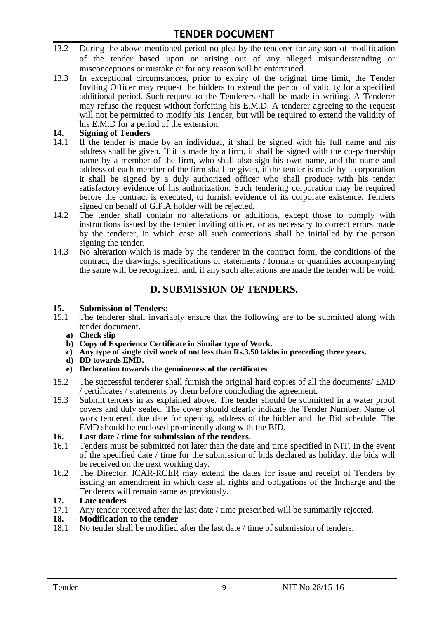- 13.2 During the above mentioned period no plea by the tenderer for any sort of modification of the tender based upon or arising out of any alleged misunderstanding or misconceptions or mistake or for any reason will be entertained.
- 13.3 In exceptional circumstances, prior to expiry of the original time limit, the Tender Inviting Officer may request the bidders to extend the period of validity for a specified additional period. Such request to the Tenderers shall be made in writing. A Tenderer may refuse the request without forfeiting his E.M.D. A tenderer agreeing to the request will not be permitted to modify his Tender, but will be required to extend the validity of his E.M.D for a period of the extension.

# 14. **Signing of Tenders**<br>14.1 If the tender is mag

- If the tender is made by an individual, it shall be signed with his full name and his address shall be given. If it is made by a firm, it shall be signed with the co-partnership name by a member of the firm, who shall also sign his own name, and the name and address of each member of the firm shall be given, if the tender is made by a corporation it shall be signed by a duly authorized officer who shall produce with his tender satisfactory evidence of his authorization. Such tendering corporation may be required before the contract is executed, to furnish evidence of its corporate existence. Tenders signed on behalf of G.P.A holder will be rejected.
- 14.2 The tender shall contain no alterations or additions, except those to comply with instructions issued by the tender inviting officer, or as necessary to correct errors made by the tenderer, in which case all such corrections shall be initialled by the person signing the tender.
- 14.3 No alteration which is made by the tenderer in the contract form, the conditions of the contract, the drawings, specifications or statements / formats or quantities accompanying the same will be recognized, and, if any such alterations are made the tender will be void.

# **D. SUBMISSION OF TENDERS.**

#### **15. Submission of Tenders:**

- 15.1 The tenderer shall invariably ensure that the following are to be submitted along with tender document.
	- **a) Check slip**
	- **b) Copy of Experience Certificate in Similar type of Work.**
	- **c) Any type of single civil work of not less than Rs.3.50 lakhs in preceding three years.**
	- **d) DD towards EMD.**
	- **e) Declaration towards the genuineness of the certificates**
- 15.2 The successful tenderer shall furnish the original hard copies of all the documents/ EMD / certificates / statements by them before concluding the agreement.
- 15.3 Submit tenders in as explained above. The tender should be submitted in a water proof covers and duly sealed. The cover should clearly indicate the Tender Number, Name of work tendered, due date for opening, address of the bidder and the Bid schedule. The EMD should be enclosed prominently along with the BID.

# **16. Last date / time for submission of the tenders.**

- 16.1 Tenders must be submitted not later than the date and time specified in NIT. In the event of the specified date / time for the submission of bids declared as holiday, the bids will be received on the next working day.
- 16.2 The Director, ICAR-RCER may extend the dates for issue and receipt of Tenders by issuing an amendment in which case all rights and obligations of the Incharge and the Tenderers will remain same as previously.

#### **17. Late tenders**

17.1 Any tender received after the last date / time prescribed will be summarily rejected.<br>18. Modification to the tender

# **18. Modification to the tender**<br>18.1 No tender shall be modified

No tender shall be modified after the last date / time of submission of tenders.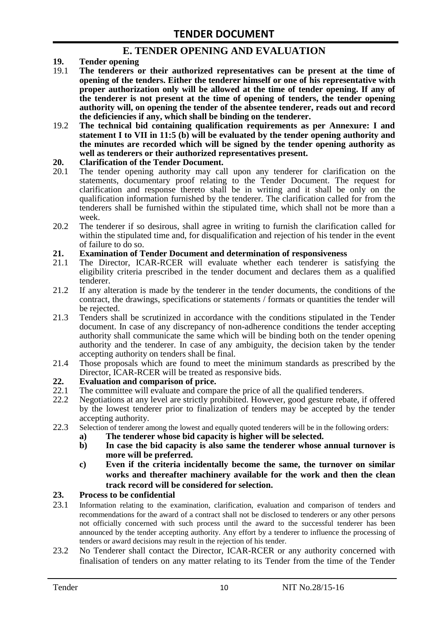## **E. TENDER OPENING AND EVALUATION**

- **19. Tender opening**
- 19.1 **The tenderers or their authorized representatives can be present at the time of opening of the tenders. Either the tenderer himself or one of his representative with proper authorization only will be allowed at the time of tender opening. If any of the tenderer is not present at the time of opening of tenders, the tender opening authority will, on opening the tender of the absentee tenderer, reads out and record the deficiencies if any, which shall be binding on the tenderer.**
- 19.2 **The technical bid containing qualification requirements as per Annexure: I and statement I to VII in 11:5 (b) will be evaluated by the tender opening authority and the minutes are recorded which will be signed by the tender opening authority as well as tenderers or their authorized representatives present.**

#### **20. Clarification of the Tender Document.**

- 20.1 The tender opening authority may call upon any tenderer for clarification on the statements, documentary proof relating to the Tender Document. The request for clarification and response thereto shall be in writing and it shall be only on the qualification information furnished by the tenderer. The clarification called for from the tenderers shall be furnished within the stipulated time, which shall not be more than a week.
- 20.2 The tenderer if so desirous, shall agree in writing to furnish the clarification called for within the stipulated time and, for disqualification and rejection of his tender in the event of failure to do so.

# **21. Examination of Tender Document and determination of responsiveness**

- 21.1 The Director, ICAR-RCER will evaluate whether each tenderer is satisfying the eligibility criteria prescribed in the tender document and declares them as a qualified tenderer.
- 21.2 If any alteration is made by the tenderer in the tender documents, the conditions of the contract, the drawings, specifications or statements / formats or quantities the tender will be rejected.
- 21.3 Tenders shall be scrutinized in accordance with the conditions stipulated in the Tender document. In case of any discrepancy of non-adherence conditions the tender accepting authority shall communicate the same which will be binding both on the tender opening authority and the tenderer. In case of any ambiguity, the decision taken by the tender accepting authority on tenders shall be final.
- 21.4 Those proposals which are found to meet the minimum standards as prescribed by the Director, ICAR-RCER will be treated as responsive bids.

# **22. Evaluation and comparison of price.**

- The committee will evaluate and compare the price of all the qualified tenderers.
- 22.2 Negotiations at any level are strictly prohibited. However, good gesture rebate, if offered by the lowest tenderer prior to finalization of tenders may be accepted by the tender accepting authority.
- 22.3 Selection of tenderer among the lowest and equally quoted tenderers will be in the following orders:
	- **a) The tenderer whose bid capacity is higher will be selected.**
	- **b) In case the bid capacity is also same the tenderer whose annual turnover is more will be preferred.**
	- **c) Even if the criteria incidentally become the same, the turnover on similar works and thereafter machinery available for the work and then the clean track record will be considered for selection.**

#### **23. Process to be confidential**

- 23.1 Information relating to the examination, clarification, evaluation and comparison of tenders and recommendations for the award of a contract shall not be disclosed to tenderers or any other persons not officially concerned with such process until the award to the successful tenderer has been announced by the tender accepting authority. Any effort by a tenderer to influence the processing of tenders or award decisions may result in the rejection of his tender.
- 23.2 No Tenderer shall contact the Director, ICAR-RCER or any authority concerned with finalisation of tenders on any matter relating to its Tender from the time of the Tender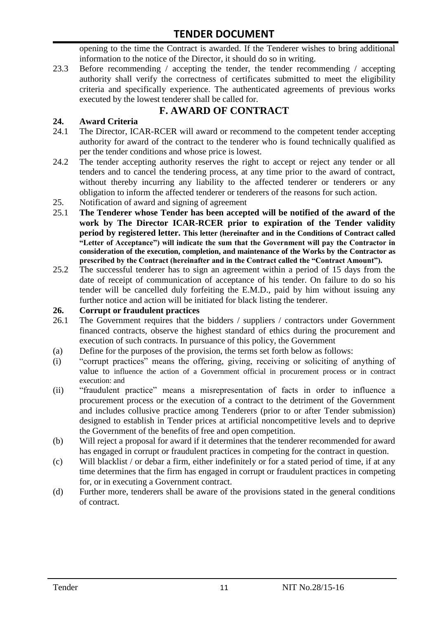opening to the time the Contract is awarded. If the Tenderer wishes to bring additional information to the notice of the Director, it should do so in writing.

23.3 Before recommending / accepting the tender, the tender recommending / accepting authority shall verify the correctness of certificates submitted to meet the eligibility criteria and specifically experience. The authenticated agreements of previous works executed by the lowest tenderer shall be called for.

# **F. AWARD OF CONTRACT**

### **24. Award Criteria**

- 24.1 The Director, ICAR-RCER will award or recommend to the competent tender accepting authority for award of the contract to the tenderer who is found technically qualified as per the tender conditions and whose price is lowest.
- 24.2 The tender accepting authority reserves the right to accept or reject any tender or all tenders and to cancel the tendering process, at any time prior to the award of contract, without thereby incurring any liability to the affected tenderer or tenderers or any obligation to inform the affected tenderer or tenderers of the reasons for such action.
- 25. Notification of award and signing of agreement
- 25.1 **The Tenderer whose Tender has been accepted will be notified of the award of the work by The Director ICAR-RCER prior to expiration of the Tender validity period by registered letter. This letter (hereinafter and in the Conditions of Contract called "Letter of Acceptance") will indicate the sum that the Government will pay the Contractor in consideration of the execution, completion, and maintenance of the Works by the Contractor as prescribed by the Contract (hereinafter and in the Contract called the "Contract Amount").**
- 25.2 The successful tenderer has to sign an agreement within a period of 15 days from the date of receipt of communication of acceptance of his tender. On failure to do so his tender will be cancelled duly forfeiting the E.M.D., paid by him without issuing any further notice and action will be initiated for black listing the tenderer.

#### **26. Corrupt or fraudulent practices**

- 26.1 The Government requires that the bidders / suppliers / contractors under Government financed contracts, observe the highest standard of ethics during the procurement and execution of such contracts. In pursuance of this policy, the Government
- (a) Define for the purposes of the provision, the terms set forth below as follows:
- (i) "corrupt practices" means the offering, giving, receiving or soliciting of anything of value to influence the action of a Government official in procurement process or in contract execution: and
- (ii) "fraudulent practice" means a misrepresentation of facts in order to influence a procurement process or the execution of a contract to the detriment of the Government and includes collusive practice among Tenderers (prior to or after Tender submission) designed to establish in Tender prices at artificial noncompetitive levels and to deprive the Government of the benefits of free and open competition.
- (b) Will reject a proposal for award if it determines that the tenderer recommended for award has engaged in corrupt or fraudulent practices in competing for the contract in question.
- (c) Will blacklist / or debar a firm, either indefinitely or for a stated period of time, if at any time determines that the firm has engaged in corrupt or fraudulent practices in competing for, or in executing a Government contract.
- (d) Further more, tenderers shall be aware of the provisions stated in the general conditions of contract.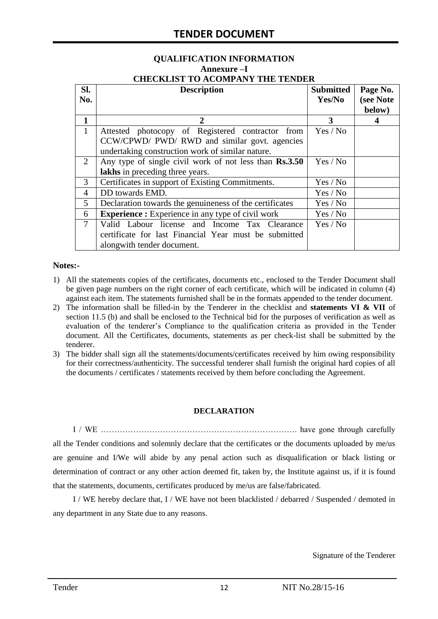# **QUALIFICATION INFORMATION Annexure –I**

| <b>CHECKLIST TO ACOMPANY THE TENDER</b> |  |  |  |  |
|-----------------------------------------|--|--|--|--|
|                                         |  |  |  |  |

| SI.<br>No.   | <b>Description</b>                                                                                                                                    | <b>Submitted</b><br>Yes/No | Page No.<br>(see Note<br>below) |
|--------------|-------------------------------------------------------------------------------------------------------------------------------------------------------|----------------------------|---------------------------------|
| 1            | 2                                                                                                                                                     | 3                          | 4                               |
| $\mathbf{1}$ | Attested photocopy of Registered contractor from<br>CCW/CPWD/ PWD/ RWD and similar govt. agencies<br>undertaking construction work of similar nature. | Yes / No                   |                                 |
| 2            | Any type of single civil work of not less than Rs.3.50<br>lakhs in preceding three years.                                                             | Yes / No                   |                                 |
| 3            | Certificates in support of Existing Commitments.                                                                                                      | Yes / No                   |                                 |
| 4            | DD towards EMD.                                                                                                                                       | Yes / No                   |                                 |
| 5            | Declaration towards the genuineness of the certificates                                                                                               | Yes / No                   |                                 |
| 6            | <b>Experience :</b> Experience in any type of civil work                                                                                              | Yes / No                   |                                 |
| $\tau$       | Valid Labour license and Income Tax Clearance<br>certificate for last Financial Year must be submitted<br>alongwith tender document.                  | Yes / No                   |                                 |

#### **Notes:-**

- 1) All the statements copies of the certificates, documents etc., enclosed to the Tender Document shall be given page numbers on the right corner of each certificate, which will be indicated in column (4) against each item. The statements furnished shall be in the formats appended to the tender document.
- 2) The information shall be filled-in by the Tenderer in the checklist and **statements VI & VII** of section 11.5 (b) and shall be enclosed to the Technical bid for the purposes of verification as well as evaluation of the tenderer"s Compliance to the qualification criteria as provided in the Tender document. All the Certificates, documents, statements as per check-list shall be submitted by the tenderer.
- 3) The bidder shall sign all the statements/documents/certificates received by him owing responsibility for their correctness/authenticity. The successful tenderer shall furnish the original hard copies of all the documents / certificates / statements received by them before concluding the Agreement.

#### **DECLARATION**

I / WE ………………………………………………………………. have gone through carefully all the Tender conditions and solemnly declare that the certificates or the documents uploaded by me/us are genuine and I/We will abide by any penal action such as disqualification or black listing or determination of contract or any other action deemed fit, taken by, the Institute against us, if it is found that the statements, documents, certificates produced by me/us are false/fabricated.

I / WE hereby declare that, I / WE have not been blacklisted / debarred / Suspended / demoted in any department in any State due to any reasons.

Signature of the Tenderer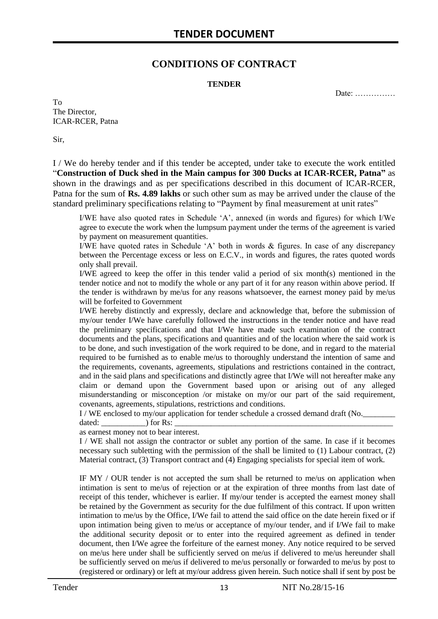### **CONDITIONS OF CONTRACT**

#### **TENDER**

Date: ……………

To The Director, ICAR-RCER, Patna

Sir,

I / We do hereby tender and if this tender be accepted, under take to execute the work entitled "**Construction of Duck shed in the Main campus for 300 Ducks at ICAR-RCER, Patna"** as shown in the drawings and as per specifications described in this document of ICAR-RCER, Patna for the sum of **Rs. 4.89 lakhs** or such other sum as may be arrived under the clause of the standard preliminary specifications relating to "Payment by final measurement at unit rates"

I/WE have also quoted rates in Schedule "A", annexed (in words and figures) for which I/We agree to execute the work when the lumpsum payment under the terms of the agreement is varied by payment on measurement quantities.

I/WE have quoted rates in Schedule 'A' both in words  $\&$  figures. In case of any discrepancy between the Percentage excess or less on E.C.V., in words and figures, the rates quoted words only shall prevail.

I/WE agreed to keep the offer in this tender valid a period of six month(s) mentioned in the tender notice and not to modify the whole or any part of it for any reason within above period. If the tender is withdrawn by me/us for any reasons whatsoever, the earnest money paid by me/us will be forfeited to Government

I/WE hereby distinctly and expressly, declare and acknowledge that, before the submission of my/our tender I/We have carefully followed the instructions in the tender notice and have read the preliminary specifications and that I/We have made such examination of the contract documents and the plans, specifications and quantities and of the location where the said work is to be done, and such investigation of the work required to be done, and in regard to the material required to be furnished as to enable me/us to thoroughly understand the intention of same and the requirements, covenants, agreements, stipulations and restrictions contained in the contract, and in the said plans and specifications and distinctly agree that I/We will not hereafter make any claim or demand upon the Government based upon or arising out of any alleged misunderstanding or misconception /or mistake on my/or our part of the said requirement, covenants, agreements, stipulations, restrictions and conditions.

I / WE enclosed to my/our application for tender schedule a crossed demand draft (No.

dated: \_\_\_\_\_\_\_\_\_\_\_) for Rs: \_\_\_\_\_\_\_\_\_\_\_\_\_\_\_\_\_\_\_\_\_\_\_\_\_\_\_\_\_\_\_\_\_\_\_\_\_\_\_\_\_\_\_\_\_\_\_\_\_\_\_\_\_\_

as earnest money not to bear interest.

I / WE shall not assign the contractor or sublet any portion of the same. In case if it becomes necessary such subletting with the permission of the shall be limited to (1) Labour contract, (2) Material contract, (3) Transport contract and (4) Engaging specialists for special item of work.

IF MY / OUR tender is not accepted the sum shall be returned to me/us on application when intimation is sent to me/us of rejection or at the expiration of three months from last date of receipt of this tender, whichever is earlier. If my/our tender is accepted the earnest money shall be retained by the Government as security for the due fulfilment of this contract. If upon written intimation to me/us by the Office, I/We fail to attend the said office on the date herein fixed or if upon intimation being given to me/us or acceptance of my/our tender, and if I/We fail to make the additional security deposit or to enter into the required agreement as defined in tender document, then I/We agree the forfeiture of the earnest money. Any notice required to be served on me/us here under shall be sufficiently served on me/us if delivered to me/us hereunder shall be sufficiently served on me/us if delivered to me/us personally or forwarded to me/us by post to (registered or ordinary) or left at my/our address given herein. Such notice shall if sent by post be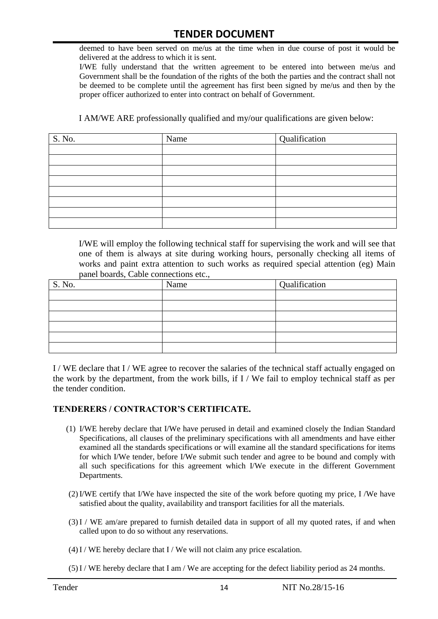deemed to have been served on me/us at the time when in due course of post it would be delivered at the address to which it is sent.

I/WE fully understand that the written agreement to be entered into between me/us and Government shall be the foundation of the rights of the both the parties and the contract shall not be deemed to be complete until the agreement has first been signed by me/us and then by the proper officer authorized to enter into contract on behalf of Government.

I AM/WE ARE professionally qualified and my/our qualifications are given below:

| S. No. | Name | Qualification |
|--------|------|---------------|
|        |      |               |
|        |      |               |
|        |      |               |
|        |      |               |
|        |      |               |
|        |      |               |
|        |      |               |
|        |      |               |

I/WE will employ the following technical staff for supervising the work and will see that one of them is always at site during working hours, personally checking all items of works and paint extra attention to such works as required special attention (eg) Main panel boards, Cable connections etc.,

| S. No. | Name | Qualification |
|--------|------|---------------|
|        |      |               |
|        |      |               |
|        |      |               |
|        |      |               |
|        |      |               |
|        |      |               |

I / WE declare that I / WE agree to recover the salaries of the technical staff actually engaged on the work by the department, from the work bills, if I / We fail to employ technical staff as per the tender condition.

#### **TENDERERS / CONTRACTOR'S CERTIFICATE.**

- (1) I/WE hereby declare that I/We have perused in detail and examined closely the Indian Standard Specifications, all clauses of the preliminary specifications with all amendments and have either examined all the standards specifications or will examine all the standard specifications for items for which I/We tender, before I/We submit such tender and agree to be bound and comply with all such specifications for this agreement which I/We execute in the different Government Departments.
- (2)I/WE certify that I/We have inspected the site of the work before quoting my price, I /We have satisfied about the quality, availability and transport facilities for all the materials.
- (3)I / WE am/are prepared to furnish detailed data in support of all my quoted rates, if and when called upon to do so without any reservations.
- $(4)$ I / WE hereby declare that I / We will not claim any price escalation.
- (5)I / WE hereby declare that I am / We are accepting for the defect liability period as 24 months.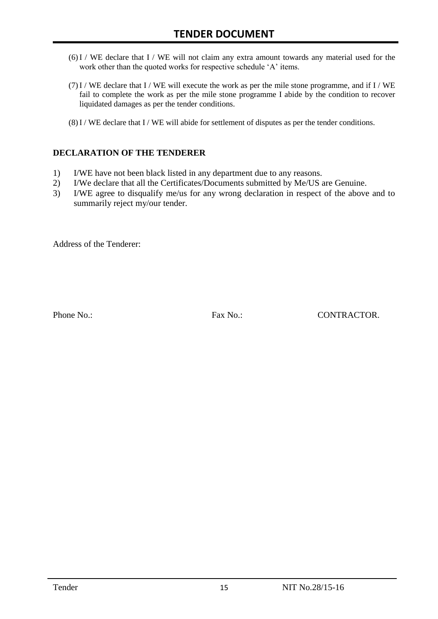- (6)I / WE declare that I / WE will not claim any extra amount towards any material used for the work other than the quoted works for respective schedule 'A' items.
- $(7)$  I / WE declare that I / WE will execute the work as per the mile stone programme, and if I / WE fail to complete the work as per the mile stone programme I abide by the condition to recover liquidated damages as per the tender conditions.
- (8)I / WE declare that I / WE will abide for settlement of disputes as per the tender conditions.

#### **DECLARATION OF THE TENDERER**

- 1) I/WE have not been black listed in any department due to any reasons.
- 2) I/We declare that all the Certificates/Documents submitted by Me/US are Genuine.
- 3) I/WE agree to disqualify me/us for any wrong declaration in respect of the above and to summarily reject my/our tender.

Address of the Tenderer:

Phone No.: Fax No.: Fax No.: CONTRACTOR.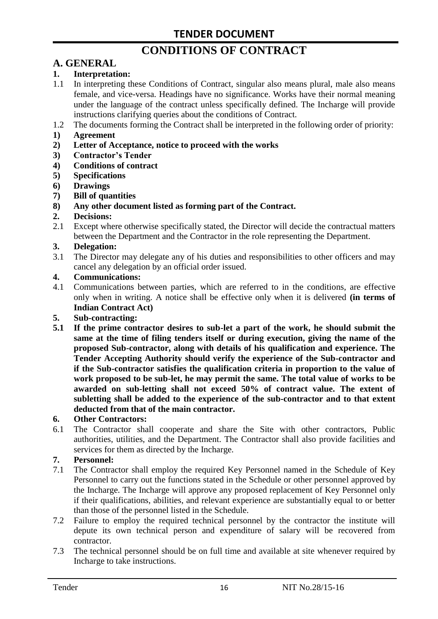# **CONDITIONS OF CONTRACT**

# **A. GENERAL**

#### **1. Interpretation:**

- 1.1 In interpreting these Conditions of Contract, singular also means plural, male also means female, and vice-versa. Headings have no significance. Works have their normal meaning under the language of the contract unless specifically defined. The Incharge will provide instructions clarifying queries about the conditions of Contract.
- 1.2 The documents forming the Contract shall be interpreted in the following order of priority:
- **1) Agreement**
- **2) Letter of Acceptance, notice to proceed with the works**
- **3) Contractor's Tender**
- **4) Conditions of contract**
- **5) Specifications**
- **6) Drawings**
- **7) Bill of quantities**
- **8) Any other document listed as forming part of the Contract.**

#### **2. Decisions:**

2.1 Except where otherwise specifically stated, the Director will decide the contractual matters between the Department and the Contractor in the role representing the Department.

#### **3. Delegation:**

3.1 The Director may delegate any of his duties and responsibilities to other officers and may cancel any delegation by an official order issued.

#### **4. Communications:**

4.1 Communications between parties, which are referred to in the conditions, are effective only when in writing. A notice shall be effective only when it is delivered **(in terms of Indian Contract Act)**

#### **5. Sub-contracting:**

**5.1 If the prime contractor desires to sub-let a part of the work, he should submit the same at the time of filing tenders itself or during execution, giving the name of the proposed Sub-contractor, along with details of his qualification and experience. The Tender Accepting Authority should verify the experience of the Sub-contractor and if the Sub-contractor satisfies the qualification criteria in proportion to the value of work proposed to be sub-let, he may permit the same. The total value of works to be awarded on sub-letting shall not exceed 50% of contract value. The extent of subletting shall be added to the experience of the sub-contractor and to that extent deducted from that of the main contractor.**

#### **6. Other Contractors:**

6.1 The Contractor shall cooperate and share the Site with other contractors, Public authorities, utilities, and the Department. The Contractor shall also provide facilities and services for them as directed by the Incharge.

#### **7. Personnel:**

- 7.1 The Contractor shall employ the required Key Personnel named in the Schedule of Key Personnel to carry out the functions stated in the Schedule or other personnel approved by the Incharge. The Incharge will approve any proposed replacement of Key Personnel only if their qualifications, abilities, and relevant experience are substantially equal to or better than those of the personnel listed in the Schedule.
- 7.2 Failure to employ the required technical personnel by the contractor the institute will depute its own technical person and expenditure of salary will be recovered from contractor.
- 7.3 The technical personnel should be on full time and available at site whenever required by Incharge to take instructions.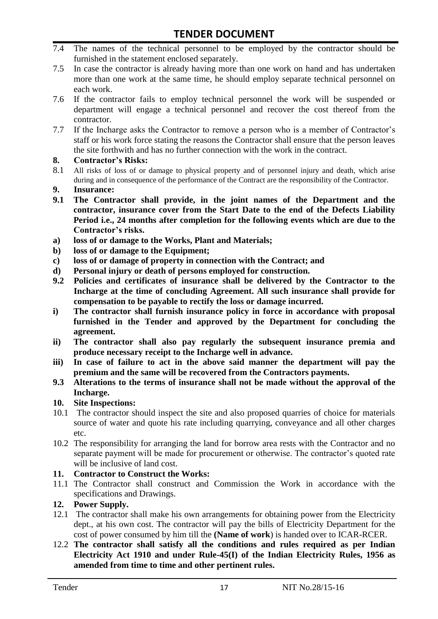- 7.4 The names of the technical personnel to be employed by the contractor should be furnished in the statement enclosed separately.
- 7.5 In case the contractor is already having more than one work on hand and has undertaken more than one work at the same time, he should employ separate technical personnel on each work.
- 7.6 If the contractor fails to employ technical personnel the work will be suspended or department will engage a technical personnel and recover the cost thereof from the contractor.
- 7.7 If the Incharge asks the Contractor to remove a person who is a member of Contractor"s staff or his work force stating the reasons the Contractor shall ensure that the person leaves the site forthwith and has no further connection with the work in the contract.

#### **8. Contractor's Risks:**

- 8.1 All risks of loss of or damage to physical property and of personnel injury and death, which arise during and in consequence of the performance of the Contract are the responsibility of the Contractor.
- **9. Insurance:**
- **9.1 The Contractor shall provide, in the joint names of the Department and the contractor, insurance cover from the Start Date to the end of the Defects Liability Period i.e., 24 months after completion for the following events which are due to the Contractor's risks.**
- **a) loss of or damage to the Works, Plant and Materials;**
- **b) loss of or damage to the Equipment;**
- **c) loss of or damage of property in connection with the Contract; and**
- **d) Personal injury or death of persons employed for construction.**
- **9.2 Policies and certificates of insurance shall be delivered by the Contractor to the Incharge at the time of concluding Agreement. All such insurance shall provide for compensation to be payable to rectify the loss or damage incurred.**
- **i) The contractor shall furnish insurance policy in force in accordance with proposal furnished in the Tender and approved by the Department for concluding the agreement.**
- **ii) The contractor shall also pay regularly the subsequent insurance premia and produce necessary receipt to the Incharge well in advance.**
- **iii) In case of failure to act in the above said manner the department will pay the premium and the same will be recovered from the Contractors payments.**
- **9.3 Alterations to the terms of insurance shall not be made without the approval of the Incharge.**

#### **10. Site Inspections:**

- 10.1 The contractor should inspect the site and also proposed quarries of choice for materials source of water and quote his rate including quarrying, conveyance and all other charges etc.
- 10.2 The responsibility for arranging the land for borrow area rests with the Contractor and no separate payment will be made for procurement or otherwise. The contractor's quoted rate will be inclusive of land cost.

#### **11. Contractor to Construct the Works:**

11.1 The Contractor shall construct and Commission the Work in accordance with the specifications and Drawings.

#### **12. Power Supply.**

- 12.1 The contractor shall make his own arrangements for obtaining power from the Electricity dept., at his own cost. The contractor will pay the bills of Electricity Department for the cost of power consumed by him till the **(Name of work**) is handed over to ICAR-RCER.
- 12.2 **The contractor shall satisfy all the conditions and rules required as per Indian Electricity Act 1910 and under Rule-45(I) of the Indian Electricity Rules, 1956 as amended from time to time and other pertinent rules.**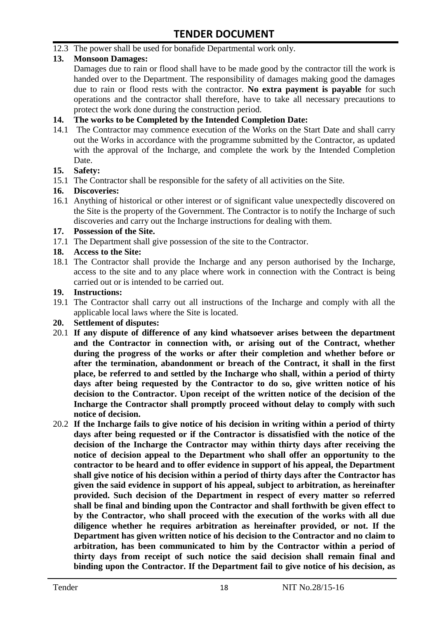12.3 The power shall be used for bonafide Departmental work only.

#### **13. Monsoon Damages:**

Damages due to rain or flood shall have to be made good by the contractor till the work is handed over to the Department. The responsibility of damages making good the damages due to rain or flood rests with the contractor. **No extra payment is payable** for such operations and the contractor shall therefore, have to take all necessary precautions to protect the work done during the construction period.

#### **14. The works to be Completed by the Intended Completion Date:**

14.1 The Contractor may commence execution of the Works on the Start Date and shall carry out the Works in accordance with the programme submitted by the Contractor, as updated with the approval of the Incharge, and complete the work by the Intended Completion Date.

#### **15. Safety:**

15.1 The Contractor shall be responsible for the safety of all activities on the Site.

#### **16. Discoveries:**

16.1 Anything of historical or other interest or of significant value unexpectedly discovered on the Site is the property of the Government. The Contractor is to notify the Incharge of such discoveries and carry out the Incharge instructions for dealing with them.

#### **17. Possession of the Site.**

17.1 The Department shall give possession of the site to the Contractor.

#### **18. Access to the Site:**

18.1 The Contractor shall provide the Incharge and any person authorised by the Incharge, access to the site and to any place where work in connection with the Contract is being carried out or is intended to be carried out.

#### **19. Instructions:**

- 19.1 The Contractor shall carry out all instructions of the Incharge and comply with all the applicable local laws where the Site is located.
- **20. Settlement of disputes:**
- 20.1 **If any dispute of difference of any kind whatsoever arises between the department and the Contractor in connection with, or arising out of the Contract, whether during the progress of the works or after their completion and whether before or after the termination, abandonment or breach of the Contract, it shall in the first place, be referred to and settled by the Incharge who shall, within a period of thirty days after being requested by the Contractor to do so, give written notice of his decision to the Contractor. Upon receipt of the written notice of the decision of the Incharge the Contractor shall promptly proceed without delay to comply with such notice of decision.**
- 20.2 **If the Incharge fails to give notice of his decision in writing within a period of thirty days after being requested or if the Contractor is dissatisfied with the notice of the decision of the Incharge the Contractor may within thirty days after receiving the notice of decision appeal to the Department who shall offer an opportunity to the contractor to be heard and to offer evidence in support of his appeal, the Department shall give notice of his decision within a period of thirty days after the Contractor has given the said evidence in support of his appeal, subject to arbitration, as hereinafter provided. Such decision of the Department in respect of every matter so referred shall be final and binding upon the Contractor and shall forthwith be given effect to by the Contractor, who shall proceed with the execution of the works with all due diligence whether he requires arbitration as hereinafter provided, or not. If the Department has given written notice of his decision to the Contractor and no claim to arbitration, has been communicated to him by the Contractor within a period of thirty days from receipt of such notice the said decision shall remain final and binding upon the Contractor. If the Department fail to give notice of his decision, as**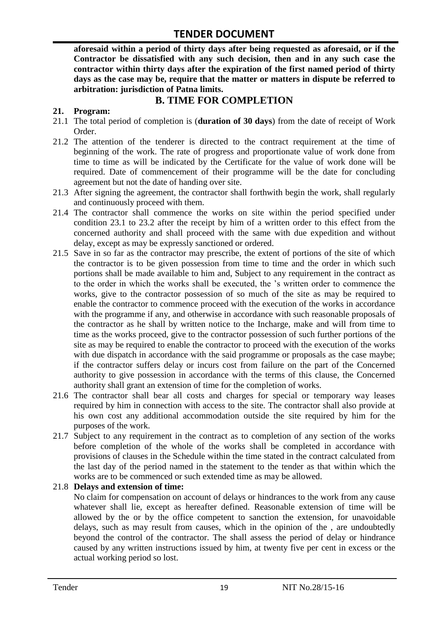**aforesaid within a period of thirty days after being requested as aforesaid, or if the Contractor be dissatisfied with any such decision, then and in any such case the contractor within thirty days after the expiration of the first named period of thirty days as the case may be, require that the matter or matters in dispute be referred to arbitration: jurisdiction of Patna limits.**

## **B. TIME FOR COMPLETION**

#### **21. Program:**

- 21.1 The total period of completion is (**duration of 30 days**) from the date of receipt of Work Order.
- 21.2 The attention of the tenderer is directed to the contract requirement at the time of beginning of the work. The rate of progress and proportionate value of work done from time to time as will be indicated by the Certificate for the value of work done will be required. Date of commencement of their programme will be the date for concluding agreement but not the date of handing over site.
- 21.3 After signing the agreement, the contractor shall forthwith begin the work, shall regularly and continuously proceed with them.
- 21.4 The contractor shall commence the works on site within the period specified under condition 23.1 to 23.2 after the receipt by him of a written order to this effect from the concerned authority and shall proceed with the same with due expedition and without delay, except as may be expressly sanctioned or ordered.
- 21.5 Save in so far as the contractor may prescribe, the extent of portions of the site of which the contractor is to be given possession from time to time and the order in which such portions shall be made available to him and, Subject to any requirement in the contract as to the order in which the works shall be executed, the "s written order to commence the works, give to the contractor possession of so much of the site as may be required to enable the contractor to commence proceed with the execution of the works in accordance with the programme if any, and otherwise in accordance with such reasonable proposals of the contractor as he shall by written notice to the Incharge, make and will from time to time as the works proceed, give to the contractor possession of such further portions of the site as may be required to enable the contractor to proceed with the execution of the works with due dispatch in accordance with the said programme or proposals as the case maybe; if the contractor suffers delay or incurs cost from failure on the part of the Concerned authority to give possession in accordance with the terms of this clause, the Concerned authority shall grant an extension of time for the completion of works.
- 21.6 The contractor shall bear all costs and charges for special or temporary way leases required by him in connection with access to the site. The contractor shall also provide at his own cost any additional accommodation outside the site required by him for the purposes of the work.
- 21.7 Subject to any requirement in the contract as to completion of any section of the works before completion of the whole of the works shall be completed in accordance with provisions of clauses in the Schedule within the time stated in the contract calculated from the last day of the period named in the statement to the tender as that within which the works are to be commenced or such extended time as may be allowed.

#### 21.8 **Delays and extension of time:**

No claim for compensation on account of delays or hindrances to the work from any cause whatever shall lie, except as hereafter defined. Reasonable extension of time will be allowed by the or by the office competent to sanction the extension, for unavoidable delays, such as may result from causes, which in the opinion of the , are undoubtedly beyond the control of the contractor. The shall assess the period of delay or hindrance caused by any written instructions issued by him, at twenty five per cent in excess or the actual working period so lost.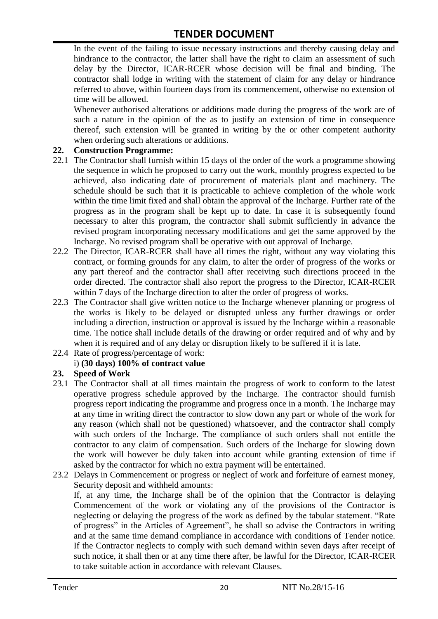In the event of the failing to issue necessary instructions and thereby causing delay and hindrance to the contractor, the latter shall have the right to claim an assessment of such delay by the Director, ICAR-RCER whose decision will be final and binding. The contractor shall lodge in writing with the statement of claim for any delay or hindrance referred to above, within fourteen days from its commencement, otherwise no extension of time will be allowed.

Whenever authorised alterations or additions made during the progress of the work are of such a nature in the opinion of the as to justify an extension of time in consequence thereof, such extension will be granted in writing by the or other competent authority when ordering such alterations or additions.

#### **22. Construction Programme:**

- 22.1 The Contractor shall furnish within 15 days of the order of the work a programme showing the sequence in which he proposed to carry out the work, monthly progress expected to be achieved, also indicating date of procurement of materials plant and machinery. The schedule should be such that it is practicable to achieve completion of the whole work within the time limit fixed and shall obtain the approval of the Incharge. Further rate of the progress as in the program shall be kept up to date. In case it is subsequently found necessary to alter this program, the contractor shall submit sufficiently in advance the revised program incorporating necessary modifications and get the same approved by the Incharge. No revised program shall be operative with out approval of Incharge.
- 22.2 The Director, ICAR-RCER shall have all times the right, without any way violating this contract, or forming grounds for any claim, to alter the order of progress of the works or any part thereof and the contractor shall after receiving such directions proceed in the order directed. The contractor shall also report the progress to the Director, ICAR-RCER within 7 days of the Incharge direction to alter the order of progress of works.
- 22.3 The Contractor shall give written notice to the Incharge whenever planning or progress of the works is likely to be delayed or disrupted unless any further drawings or order including a direction, instruction or approval is issued by the Incharge within a reasonable time. The notice shall include details of the drawing or order required and of why and by when it is required and of any delay or disruption likely to be suffered if it is late.
- 22.4 Rate of progress/percentage of work:

#### i) **(30 days) 100% of contract value**

#### **23. Speed of Work**

- 23.1 The Contractor shall at all times maintain the progress of work to conform to the latest operative progress schedule approved by the Incharge. The contractor should furnish progress report indicating the programme and progress once in a month. The Incharge may at any time in writing direct the contractor to slow down any part or whole of the work for any reason (which shall not be questioned) whatsoever, and the contractor shall comply with such orders of the Incharge. The compliance of such orders shall not entitle the contractor to any claim of compensation. Such orders of the Incharge for slowing down the work will however be duly taken into account while granting extension of time if asked by the contractor for which no extra payment will be entertained.
- 23.2 Delays in Commencement or progress or neglect of work and forfeiture of earnest money, Security deposit and withheld amounts:

If, at any time, the Incharge shall be of the opinion that the Contractor is delaying Commencement of the work or violating any of the provisions of the Contractor is neglecting or delaying the progress of the work as defined by the tabular statement. "Rate of progress" in the Articles of Agreement", he shall so advise the Contractors in writing and at the same time demand compliance in accordance with conditions of Tender notice. If the Contractor neglects to comply with such demand within seven days after receipt of such notice, it shall then or at any time there after, be lawful for the Director, ICAR-RCER to take suitable action in accordance with relevant Clauses.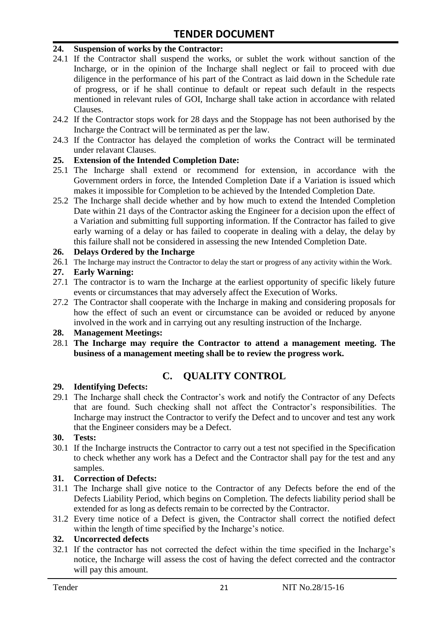#### **24. Suspension of works by the Contractor:**

- 24.1 If the Contractor shall suspend the works, or sublet the work without sanction of the Incharge, or in the opinion of the Incharge shall neglect or fail to proceed with due diligence in the performance of his part of the Contract as laid down in the Schedule rate of progress, or if he shall continue to default or repeat such default in the respects mentioned in relevant rules of GOI, Incharge shall take action in accordance with related Clauses.
- 24.2 If the Contractor stops work for 28 days and the Stoppage has not been authorised by the Incharge the Contract will be terminated as per the law.
- 24.3 If the Contractor has delayed the completion of works the Contract will be terminated under relavant Clauses.

#### **25. Extension of the Intended Completion Date:**

- 25.1 The Incharge shall extend or recommend for extension, in accordance with the Government orders in force, the Intended Completion Date if a Variation is issued which makes it impossible for Completion to be achieved by the Intended Completion Date.
- 25.2 The Incharge shall decide whether and by how much to extend the Intended Completion Date within 21 days of the Contractor asking the Engineer for a decision upon the effect of a Variation and submitting full supporting information. If the Contractor has failed to give early warning of a delay or has failed to cooperate in dealing with a delay, the delay by this failure shall not be considered in assessing the new Intended Completion Date.

#### **26. Delays Ordered by the Incharge**

26.1 The Incharge may instruct the Contractor to delay the start or progress of any activity within the Work.

#### **27. Early Warning:**

- 27.1 The contractor is to warn the Incharge at the earliest opportunity of specific likely future events or circumstances that may adversely affect the Execution of Works.
- 27.2 The Contractor shall cooperate with the Incharge in making and considering proposals for how the effect of such an event or circumstance can be avoided or reduced by anyone involved in the work and in carrying out any resulting instruction of the Incharge.

#### **28. Management Meetings:**

28.1 **The Incharge may require the Contractor to attend a management meeting. The business of a management meeting shall be to review the progress work.**

## **C. QUALITY CONTROL**

#### **29. Identifying Defects:**

29.1 The Incharge shall check the Contractor's work and notify the Contractor of any Defects that are found. Such checking shall not affect the Contractor"s responsibilities. The Incharge may instruct the Contractor to verify the Defect and to uncover and test any work that the Engineer considers may be a Defect.

#### **30. Tests:**

30.1 If the Incharge instructs the Contractor to carry out a test not specified in the Specification to check whether any work has a Defect and the Contractor shall pay for the test and any samples.

#### **31. Correction of Defects:**

- 31.1 The Incharge shall give notice to the Contractor of any Defects before the end of the Defects Liability Period, which begins on Completion. The defects liability period shall be extended for as long as defects remain to be corrected by the Contractor.
- 31.2 Every time notice of a Defect is given, the Contractor shall correct the notified defect within the length of time specified by the Incharge's notice.

#### **32. Uncorrected defects**

32.1 If the contractor has not corrected the defect within the time specified in the Incharge"s notice, the Incharge will assess the cost of having the defect corrected and the contractor will pay this amount.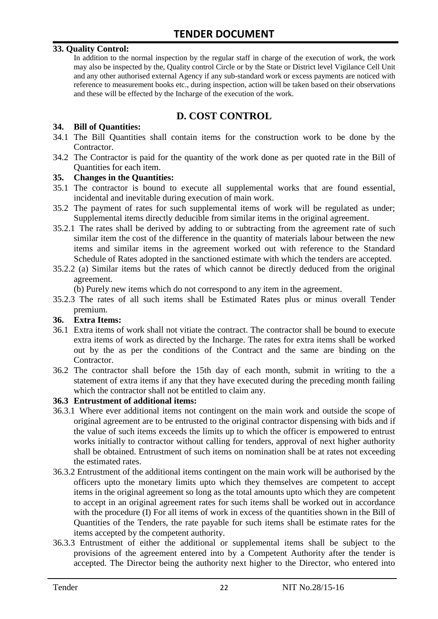#### **33. Quality Control:**

In addition to the normal inspection by the regular staff in charge of the execution of work, the work may also be inspected by the, Quality control Circle or by the State or District level Vigilance Cell Unit and any other authorised external Agency if any sub-standard work or excess payments are noticed with reference to measurement books etc., during inspection, action will be taken based on their observations and these will be effected by the Incharge of the execution of the work.

# **D. COST CONTROL**

#### **34. Bill of Quantities:**

- 34.1 The Bill Quantities shall contain items for the construction work to be done by the Contractor.
- 34.2 The Contractor is paid for the quantity of the work done as per quoted rate in the Bill of Quantities for each item.

#### **35. Changes in the Quantities:**

- 35.1 The contractor is bound to execute all supplemental works that are found essential, incidental and inevitable during execution of main work.
- 35.2 The payment of rates for such supplemental items of work will be regulated as under; Supplemental items directly deducible from similar items in the original agreement.
- 35.2.1 The rates shall be derived by adding to or subtracting from the agreement rate of such similar item the cost of the difference in the quantity of materials labour between the new items and similar items in the agreement worked out with reference to the Standard Schedule of Rates adopted in the sanctioned estimate with which the tenders are accepted.
- 35.2.2 (a) Similar items but the rates of which cannot be directly deduced from the original agreement.

(b) Purely new items which do not correspond to any item in the agreement.

35.2.3 The rates of all such items shall be Estimated Rates plus or minus overall Tender premium.

#### **36. Extra Items:**

- 36.1 Extra items of work shall not vitiate the contract. The contractor shall be bound to execute extra items of work as directed by the Incharge. The rates for extra items shall be worked out by the as per the conditions of the Contract and the same are binding on the Contractor.
- 36.2 The contractor shall before the 15th day of each month, submit in writing to the a statement of extra items if any that they have executed during the preceding month failing which the contractor shall not be entitled to claim any.

#### **36.3 Entrustment of additional items:**

- 36.3.1 Where ever additional items not contingent on the main work and outside the scope of original agreement are to be entrusted to the original contractor dispensing with bids and if the value of such items exceeds the limits up to which the officer is empowered to entrust works initially to contractor without calling for tenders, approval of next higher authority shall be obtained. Entrustment of such items on nomination shall be at rates not exceeding the estimated rates.
- 36.3.2 Entrustment of the additional items contingent on the main work will be authorised by the officers upto the monetary limits upto which they themselves are competent to accept items in the original agreement so long as the total amounts upto which they are competent to accept in an original agreement rates for such items shall be worked out in accordance with the procedure (I) For all items of work in excess of the quantities shown in the Bill of Quantities of the Tenders, the rate payable for such items shall be estimate rates for the items accepted by the competent authority.
- 36.3.3 Entrustment of either the additional or supplemental items shall be subject to the provisions of the agreement entered into by a Competent Authority after the tender is accepted. The Director being the authority next higher to the Director, who entered into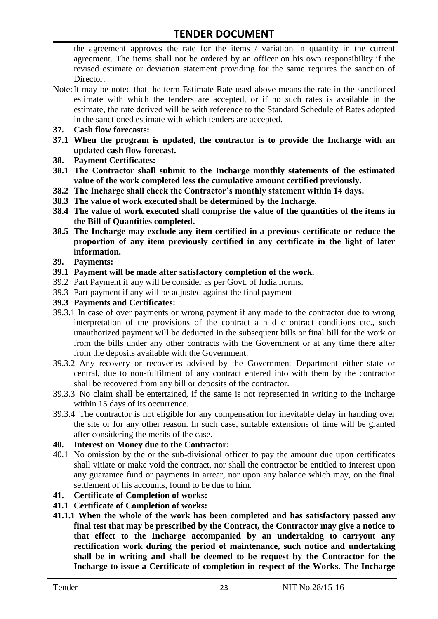the agreement approves the rate for the items / variation in quantity in the current agreement. The items shall not be ordered by an officer on his own responsibility if the revised estimate or deviation statement providing for the same requires the sanction of Director.

- Note:It may be noted that the term Estimate Rate used above means the rate in the sanctioned estimate with which the tenders are accepted, or if no such rates is available in the estimate, the rate derived will be with reference to the Standard Schedule of Rates adopted in the sanctioned estimate with which tenders are accepted.
- **37. Cash flow forecasts:**
- **37.1 When the program is updated, the contractor is to provide the Incharge with an updated cash flow forecast.**
- **38. Payment Certificates:**
- **38.1 The Contractor shall submit to the Incharge monthly statements of the estimated value of the work completed less the cumulative amount certified previously.**
- **38.2 The Incharge shall check the Contractor's monthly statement within 14 days.**
- **38.3 The value of work executed shall be determined by the Incharge.**
- **38.4 The value of work executed shall comprise the value of the quantities of the items in the Bill of Quantities completed.**
- **38.5 The Incharge may exclude any item certified in a previous certificate or reduce the proportion of any item previously certified in any certificate in the light of later information.**
- **39. Payments:**
- **39.1 Payment will be made after satisfactory completion of the work.**
- 39.2 Part Payment if any will be consider as per Govt. of India norms.
- 39.3 Part payment if any will be adjusted against the final payment
- **39.3 Payments and Certificates:**
- 39.3.1 In case of over payments or wrong payment if any made to the contractor due to wrong interpretation of the provisions of the contract a n d c ontract conditions etc., such unauthorized payment will be deducted in the subsequent bills or final bill for the work or from the bills under any other contracts with the Government or at any time there after from the deposits available with the Government.
- 39.3.2 Any recovery or recoveries advised by the Government Department either state or central, due to non-fulfilment of any contract entered into with them by the contractor shall be recovered from any bill or deposits of the contractor.
- 39.3.3 No claim shall be entertained, if the same is not represented in writing to the Incharge within 15 days of its occurrence.
- 39.3.4 The contractor is not eligible for any compensation for inevitable delay in handing over the site or for any other reason. In such case, suitable extensions of time will be granted after considering the merits of the case.

#### **40. Interest on Money due to the Contractor:**

- 40.1 No omission by the or the sub-divisional officer to pay the amount due upon certificates shall vitiate or make void the contract, nor shall the contractor be entitled to interest upon any guarantee fund or payments in arrear, nor upon any balance which may, on the final settlement of his accounts, found to be due to him.
- **41. Certificate of Completion of works:**
- **41.1 Certificate of Completion of works:**
- **41.1.1 When the whole of the work has been completed and has satisfactory passed any final test that may be prescribed by the Contract, the Contractor may give a notice to that effect to the Incharge accompanied by an undertaking to carryout any rectification work during the period of maintenance, such notice and undertaking shall be in writing and shall be deemed to be request by the Contractor for the Incharge to issue a Certificate of completion in respect of the Works. The Incharge**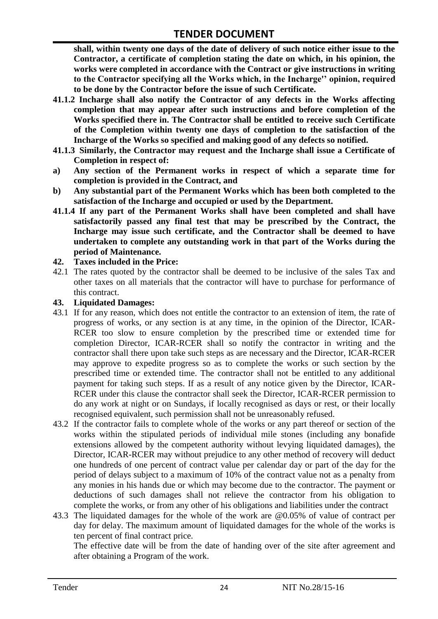**shall, within twenty one days of the date of delivery of such notice either issue to the Contractor, a certificate of completion stating the date on which, in his opinion, the works were completed in accordance with the Contract or give instructions in writing to the Contractor specifying all the Works which, in the Incharge'' opinion, required to be done by the Contractor before the issue of such Certificate.**

- **41.1.2 Incharge shall also notify the Contractor of any defects in the Works affecting completion that may appear after such instructions and before completion of the Works specified there in. The Contractor shall be entitled to receive such Certificate of the Completion within twenty one days of completion to the satisfaction of the Incharge of the Works so specified and making good of any defects so notified.**
- **41.1.3 Similarly, the Contractor may request and the Incharge shall issue a Certificate of Completion in respect of:**
- **a) Any section of the Permanent works in respect of which a separate time for completion is provided in the Contract, and**
- **b) Any substantial part of the Permanent Works which has been both completed to the satisfaction of the Incharge and occupied or used by the Department.**
- **41.1.4 If any part of the Permanent Works shall have been completed and shall have satisfactorily passed any final test that may be prescribed by the Contract, the Incharge may issue such certificate, and the Contractor shall be deemed to have undertaken to complete any outstanding work in that part of the Works during the period of Maintenance.**

#### **42. Taxes included in the Price:**

42.1 The rates quoted by the contractor shall be deemed to be inclusive of the sales Tax and other taxes on all materials that the contractor will have to purchase for performance of this contract.

#### **43. Liquidated Damages:**

- 43.1 If for any reason, which does not entitle the contractor to an extension of item, the rate of progress of works, or any section is at any time, in the opinion of the Director, ICAR-RCER too slow to ensure completion by the prescribed time or extended time for completion Director, ICAR-RCER shall so notify the contractor in writing and the contractor shall there upon take such steps as are necessary and the Director, ICAR-RCER may approve to expedite progress so as to complete the works or such section by the prescribed time or extended time. The contractor shall not be entitled to any additional payment for taking such steps. If as a result of any notice given by the Director, ICAR-RCER under this clause the contractor shall seek the Director, ICAR-RCER permission to do any work at night or on Sundays, if locally recognised as days or rest, or their locally recognised equivalent, such permission shall not be unreasonably refused.
- 43.2 If the contractor fails to complete whole of the works or any part thereof or section of the works within the stipulated periods of individual mile stones (including any bonafide extensions allowed by the competent authority without levying liquidated damages), the Director, ICAR-RCER may without prejudice to any other method of recovery will deduct one hundreds of one percent of contract value per calendar day or part of the day for the period of delays subject to a maximum of 10% of the contract value not as a penalty from any monies in his hands due or which may become due to the contractor. The payment or deductions of such damages shall not relieve the contractor from his obligation to complete the works, or from any other of his obligations and liabilities under the contract
- 43.3 The liquidated damages for the whole of the work are @0.05% of value of contract per day for delay. The maximum amount of liquidated damages for the whole of the works is ten percent of final contract price.

The effective date will be from the date of handing over of the site after agreement and after obtaining a Program of the work.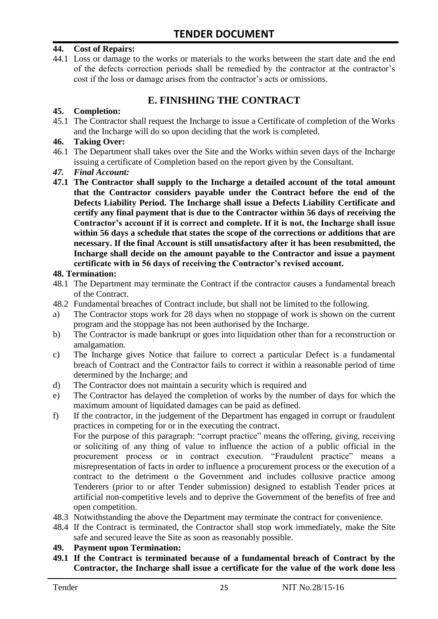#### **44. Cost of Repairs:**

44.1 Loss or damage to the works or materials to the works between the start date and the end of the defects correction periods shall be remedied by the contractor at the contractor"s cost if the loss or damage arises from the contractor's acts or omissions.

# **E. FINISHING THE CONTRACT**

#### **45. Completion:**

45.1 The Contractor shall request the Incharge to issue a Certificate of completion of the Works and the Incharge will do so upon deciding that the work is completed.

#### **46. Taking Over:**

- 46.1 The Department shall takes over the Site and the Works within seven days of the Incharge issuing a certificate of Completion based on the report given by the Consultant.
- *47. Final Account:*
- **47.1 The Contractor shall supply to the Incharge a detailed account of the total amount that the Contractor considers payable under the Contract before the end of the Defects Liability Period. The Incharge shall issue a Defects Liability Certificate and certify any final payment that is due to the Contractor within 56 days of receiving the Contractor's account if it is correct and complete. If it is not, the Incharge shall issue within 56 days a schedule that states the scope of the corrections or additions that are necessary. If the final Account is still unsatisfactory after it has been resubmitted, the Incharge shall decide on the amount payable to the Contractor and issue a payment certificate with in 56 days of receiving the Contractor's revised account.**

#### **48. Termination:**

- 48.1 The Department may terminate the Contract if the contractor causes a fundamental breach of the Contract.
- 48.2 Fundamental breaches of Contract include, but shall not be limited to the following.
- a) The Contractor stops work for 28 days when no stoppage of work is shown on the current program and the stoppage has not been authorised by the Incharge.
- b) The Contractor is made bankrupt or goes into liquidation other than for a reconstruction or amalgamation.
- c) The Incharge gives Notice that failure to correct a particular Defect is a fundamental breach of Contract and the Contractor fails to correct it within a reasonable period of time determined by the Incharge; and
- d) The Contractor does not maintain a security which is required and
- e) The Contractor has delayed the completion of works by the number of days for which the maximum amount of liquidated damages can be paid as defined.
- f) If the contractor, in the judgement of the Department has engaged in corrupt or fraudulent practices in competing for or in the executing the contract.

For the purpose of this paragraph: "corrupt practice" means the offering, giving, receiving or soliciting of any thing of value to influence the action of a public official in the procurement process or in contract execution. "Fraudulent practice" means a misrepresentation of facts in order to influence a procurement process or the execution of a contract to the detriment o the Government and includes collusive practice among Tenderers (prior to or after Tender submission) designed to establish Tender prices at artificial non-competitive levels and to deprive the Government of the benefits of free and open competition.

- 48.3 Notwithstanding the above the Department may terminate the contract for convenience.
- 48.4 If the Contract is terminated, the Contractor shall stop work immediately, make the Site safe and secured leave the Site as soon as reasonably possible.

#### **49. Payment upon Termination:**

**49.1 If the Contract is terminated because of a fundamental breach of Contract by the Contractor, the Incharge shall issue a certificate for the value of the work done less**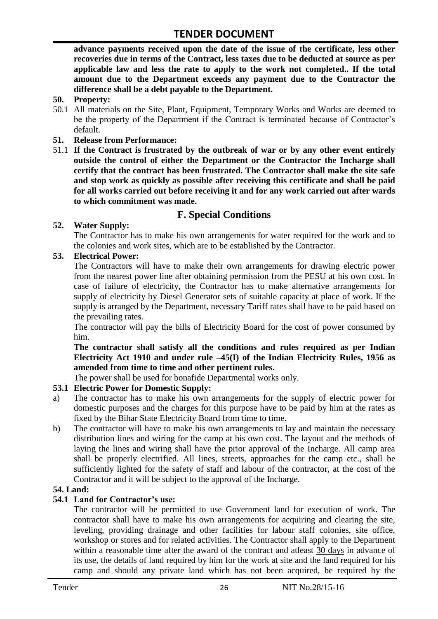**advance payments received upon the date of the issue of the certificate, less other recoveries due in terms of the Contract, less taxes due to be deducted at source as per applicable law and less the rate to apply to the work not completed.. If the total amount due to the Department exceeds any payment due to the Contractor the difference shall be a debt payable to the Department.**

- **50. Property:**
- 50.1 All materials on the Site, Plant, Equipment, Temporary Works and Works are deemed to be the property of the Department if the Contract is terminated because of Contractor's default.
- **51. Release from Performance:**
- 51.1 **If the Contract is frustrated by the outbreak of war or by any other event entirely outside the control of either the Department or the Contractor the Incharge shall certify that the contract has been frustrated. The Contractor shall make the site safe and stop work as quickly as possible after receiving this certificate and shall be paid for all works carried out before receiving it and for any work carried out after wards to which commitment was made.**

# **F. Special Conditions**

#### **52. Water Supply:**

The Contractor has to make his own arrangements for water required for the work and to the colonies and work sites, which are to be established by the Contractor.

#### **53. Electrical Power:**

The Contractors will have to make their own arrangements for drawing electric power from the nearest power line after obtaining permission from the PESU at his own cost. In case of failure of electricity, the Contractor has to make alternative arrangements for supply of electricity by Diesel Generator sets of suitable capacity at place of work. If the supply is arranged by the Department, necessary Tariff rates shall have to be paid based on the prevailing rates.

The contractor will pay the bills of Electricity Board for the cost of power consumed by him.

**The contractor shall satisfy all the conditions and rules required as per Indian Electricity Act 1910 and under rule –45(I) of the Indian Electricity Rules, 1956 as amended from time to time and other pertinent rules.**

The power shall be used for bonafide Departmental works only.

#### **53.1 Electric Power for Domestic Supply:**

- a) The contractor has to make his own arrangements for the supply of electric power for domestic purposes and the charges for this purpose have to be paid by him at the rates as fixed by the Bihar State Electricity Board from time to time.
- b) The contractor will have to make his own arrangements to lay and maintain the necessary distribution lines and wiring for the camp at his own cost. The layout and the methods of laying the lines and wiring shall have the prior approval of the Incharge. All camp area shall be properly electrified. All lines, streets, approaches for the camp etc., shall be sufficiently lighted for the safety of staff and labour of the contractor, at the cost of the Contractor and it will be subject to the approval of the Incharge.

#### **54. Land:**

#### **54.1 Land for Contractor's use:**

The contractor will be permitted to use Government land for execution of work. The contractor shall have to make his own arrangements for acquiring and clearing the site, leveling, providing drainage and other facilities for labour staff colonies, site office, workshop or stores and for related activities. The Contractor shall apply to the Department within a reasonable time after the award of the contract and atleast 30 days in advance of its use, the details of land required by him for the work at site and the land required for his camp and should any private land which has not been acquired, be required by the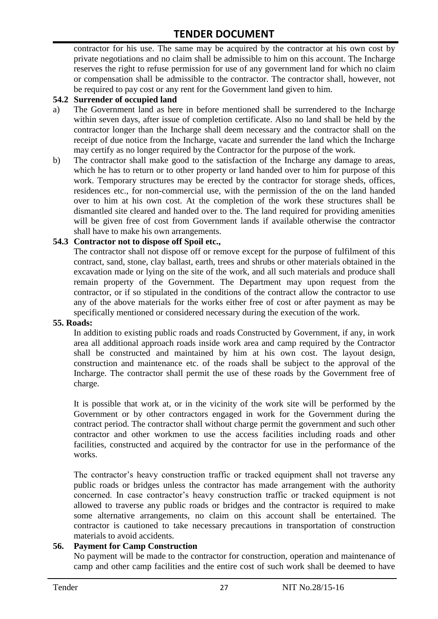contractor for his use. The same may be acquired by the contractor at his own cost by private negotiations and no claim shall be admissible to him on this account. The Incharge reserves the right to refuse permission for use of any government land for which no claim or compensation shall be admissible to the contractor. The contractor shall, however, not be required to pay cost or any rent for the Government land given to him.

#### **54.2 Surrender of occupied land**

- a) The Government land as here in before mentioned shall be surrendered to the Incharge within seven days, after issue of completion certificate. Also no land shall be held by the contractor longer than the Incharge shall deem necessary and the contractor shall on the receipt of due notice from the Incharge, vacate and surrender the land which the Incharge may certify as no longer required by the Contractor for the purpose of the work.
- b) The contractor shall make good to the satisfaction of the Incharge any damage to areas, which he has to return or to other property or land handed over to him for purpose of this work. Temporary structures may be erected by the contractor for storage sheds, offices, residences etc., for non-commercial use, with the permission of the on the land handed over to him at his own cost. At the completion of the work these structures shall be dismantled site cleared and handed over to the. The land required for providing amenities will be given free of cost from Government lands if available otherwise the contractor shall have to make his own arrangements.

#### **54.3 Contractor not to dispose off Spoil etc.,**

The contractor shall not dispose off or remove except for the purpose of fulfilment of this contract, sand, stone, clay ballast, earth, trees and shrubs or other materials obtained in the excavation made or lying on the site of the work, and all such materials and produce shall remain property of the Government. The Department may upon request from the contractor, or if so stipulated in the conditions of the contract allow the contractor to use any of the above materials for the works either free of cost or after payment as may be specifically mentioned or considered necessary during the execution of the work.

#### **55. Roads:**

In addition to existing public roads and roads Constructed by Government, if any, in work area all additional approach roads inside work area and camp required by the Contractor shall be constructed and maintained by him at his own cost. The layout design, construction and maintenance etc. of the roads shall be subject to the approval of the Incharge. The contractor shall permit the use of these roads by the Government free of charge.

It is possible that work at, or in the vicinity of the work site will be performed by the Government or by other contractors engaged in work for the Government during the contract period. The contractor shall without charge permit the government and such other contractor and other workmen to use the access facilities including roads and other facilities, constructed and acquired by the contractor for use in the performance of the works.

The contractor's heavy construction traffic or tracked equipment shall not traverse any public roads or bridges unless the contractor has made arrangement with the authority concerned. In case contractor"s heavy construction traffic or tracked equipment is not allowed to traverse any public roads or bridges and the contractor is required to make some alternative arrangements, no claim on this account shall be entertained. The contractor is cautioned to take necessary precautions in transportation of construction materials to avoid accidents.

#### **56. Payment for Camp Construction**

No payment will be made to the contractor for construction, operation and maintenance of camp and other camp facilities and the entire cost of such work shall be deemed to have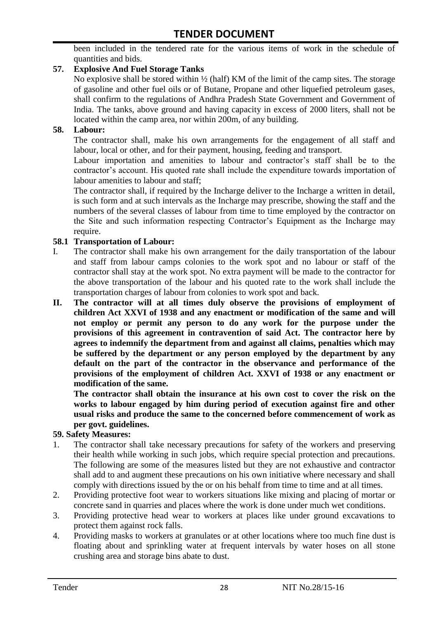been included in the tendered rate for the various items of work in the schedule of quantities and bids.

#### **57. Explosive And Fuel Storage Tanks**

No explosive shall be stored within ½ (half) KM of the limit of the camp sites. The storage of gasoline and other fuel oils or of Butane, Propane and other liquefied petroleum gases, shall confirm to the regulations of Andhra Pradesh State Government and Government of India. The tanks, above ground and having capacity in excess of 2000 liters, shall not be located within the camp area, nor within 200m, of any building.

#### **58. Labour:**

The contractor shall, make his own arrangements for the engagement of all staff and labour, local or other, and for their payment, housing, feeding and transport.

Labour importation and amenities to labour and contractor's staff shall be to the contractor's account. His quoted rate shall include the expenditure towards importation of labour amenities to labour and staff;

The contractor shall, if required by the Incharge deliver to the Incharge a written in detail, is such form and at such intervals as the Incharge may prescribe, showing the staff and the numbers of the several classes of labour from time to time employed by the contractor on the Site and such information respecting Contractor"s Equipment as the Incharge may require.

#### **58.1 Transportation of Labour:**

- I. The contractor shall make his own arrangement for the daily transportation of the labour and staff from labour camps colonies to the work spot and no labour or staff of the contractor shall stay at the work spot. No extra payment will be made to the contractor for the above transportation of the labour and his quoted rate to the work shall include the transportation charges of labour from colonies to work spot and back.
- **II. The contractor will at all times duly observe the provisions of employment of children Act XXVI of 1938 and any enactment or modification of the same and will not employ or permit any person to do any work for the purpose under the provisions of this agreement in contravention of said Act. The contractor here by agrees to indemnify the department from and against all claims, penalties which may be suffered by the department or any person employed by the department by any default on the part of the contractor in the observance and performance of the provisions of the employment of children Act. XXVI of 1938 or any enactment or modification of the same.**

**The contractor shall obtain the insurance at his own cost to cover the risk on the works to labour engaged by him during period of execution against fire and other usual risks and produce the same to the concerned before commencement of work as per govt. guidelines.**

#### **59. Safety Measures:**

- 1. The contractor shall take necessary precautions for safety of the workers and preserving their health while working in such jobs, which require special protection and precautions. The following are some of the measures listed but they are not exhaustive and contractor shall add to and augment these precautions on his own initiative where necessary and shall comply with directions issued by the or on his behalf from time to time and at all times.
- 2. Providing protective foot wear to workers situations like mixing and placing of mortar or concrete sand in quarries and places where the work is done under much wet conditions.
- 3. Providing protective head wear to workers at places like under ground excavations to protect them against rock falls.
- 4. Providing masks to workers at granulates or at other locations where too much fine dust is floating about and sprinkling water at frequent intervals by water hoses on all stone crushing area and storage bins abate to dust.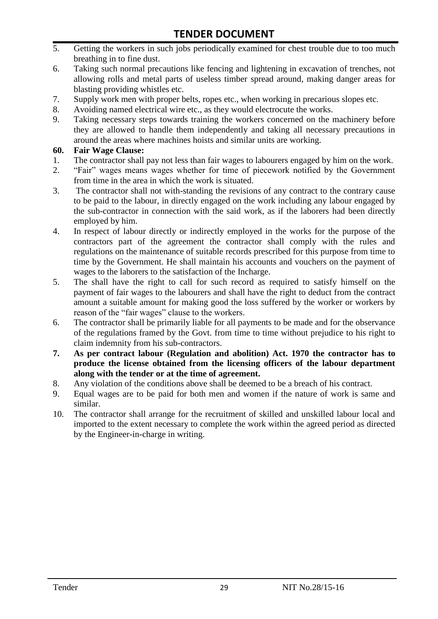- 5. Getting the workers in such jobs periodically examined for chest trouble due to too much breathing in to fine dust.
- 6. Taking such normal precautions like fencing and lightening in excavation of trenches, not allowing rolls and metal parts of useless timber spread around, making danger areas for blasting providing whistles etc.
- 7. Supply work men with proper belts, ropes etc., when working in precarious slopes etc.
- 8. Avoiding named electrical wire etc., as they would electrocute the works.
- 9. Taking necessary steps towards training the workers concerned on the machinery before they are allowed to handle them independently and taking all necessary precautions in around the areas where machines hoists and similar units are working.

#### **60. Fair Wage Clause:**

- 1. The contractor shall pay not less than fair wages to labourers engaged by him on the work.
- 2. "Fair" wages means wages whether for time of piecework notified by the Government from time in the area in which the work is situated.
- 3. The contractor shall not with-standing the revisions of any contract to the contrary cause to be paid to the labour, in directly engaged on the work including any labour engaged by the sub-contractor in connection with the said work, as if the laborers had been directly employed by him.
- 4. In respect of labour directly or indirectly employed in the works for the purpose of the contractors part of the agreement the contractor shall comply with the rules and regulations on the maintenance of suitable records prescribed for this purpose from time to time by the Government. He shall maintain his accounts and vouchers on the payment of wages to the laborers to the satisfaction of the Incharge.
- 5. The shall have the right to call for such record as required to satisfy himself on the payment of fair wages to the labourers and shall have the right to deduct from the contract amount a suitable amount for making good the loss suffered by the worker or workers by reason of the "fair wages" clause to the workers.
- 6. The contractor shall be primarily liable for all payments to be made and for the observance of the regulations framed by the Govt. from time to time without prejudice to his right to claim indemnity from his sub-contractors.
- **7. As per contract labour (Regulation and abolition) Act. 1970 the contractor has to produce the license obtained from the licensing officers of the labour department along with the tender or at the time of agreement.**
- 8. Any violation of the conditions above shall be deemed to be a breach of his contract.
- 9. Equal wages are to be paid for both men and women if the nature of work is same and similar.
- 10. The contractor shall arrange for the recruitment of skilled and unskilled labour local and imported to the extent necessary to complete the work within the agreed period as directed by the Engineer-in-charge in writing.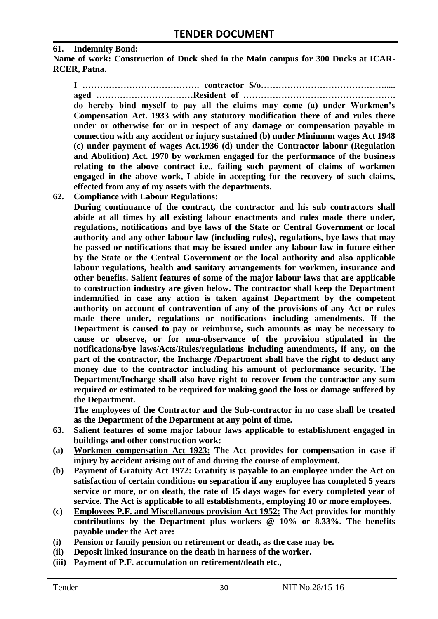#### **61. Indemnity Bond:**

**Name of work: Construction of Duck shed in the Main campus for 300 Ducks at ICAR-RCER, Patna.**

**I …………………………………. contractor S/o……………………………………..... aged ……………………………Resident of ……………………………………………. do hereby bind myself to pay all the claims may come (a) under Workmen's Compensation Act. 1933 with any statutory modification there of and rules there under or otherwise for or in respect of any damage or compensation payable in connection with any accident or injury sustained (b) under Minimum wages Act 1948 (c) under payment of wages Act.1936 (d) under the Contractor labour (Regulation and Abolition) Act. 1970 by workmen engaged for the performance of the business relating to the above contract i.e., failing such payment of claims of workmen engaged in the above work, I abide in accepting for the recovery of such claims, effected from any of my assets with the departments.**

**62. Compliance with Labour Regulations:**

**During continuance of the contract, the contractor and his sub contractors shall abide at all times by all existing labour enactments and rules made there under, regulations, notifications and bye laws of the State or Central Government or local authority and any other labour law (including rules), regulations, bye laws that may be passed or notifications that may be issued under any labour law in future either by the State or the Central Government or the local authority and also applicable labour regulations, health and sanitary arrangements for workmen, insurance and other benefits. Salient features of some of the major labour laws that are applicable to construction industry are given below. The contractor shall keep the Department indemnified in case any action is taken against Department by the competent authority on account of contravention of any of the provisions of any Act or rules made there under, regulations or notifications including amendments. If the Department is caused to pay or reimburse, such amounts as may be necessary to cause or observe, or for non-observance of the provision stipulated in the notifications/bye laws/Acts/Rules/regulations including amendments, if any, on the part of the contractor, the Incharge /Department shall have the right to deduct any money due to the contractor including his amount of performance security. The Department/Incharge shall also have right to recover from the contractor any sum required or estimated to be required for making good the loss or damage suffered by the Department.**

**The employees of the Contractor and the Sub-contractor in no case shall be treated as the Department of the Department at any point of time.**

- **63. Salient features of some major labour laws applicable to establishment engaged in buildings and other construction work:**
- **(a) Workmen compensation Act 1923: The Act provides for compensation in case if injury by accident arising out of and during the course of employment.**
- **(b) Payment of Gratuity Act 1972: Gratuity is payable to an employee under the Act on satisfaction of certain conditions on separation if any employee has completed 5 years service or more, or on death, the rate of 15 days wages for every completed year of service. The Act is applicable to all establishments, employing 10 or more employees.**
- **(c) Employees P.F. and Miscellaneous provision Act 1952: The Act provides for monthly contributions by the Department plus workers @ 10% or 8.33%. The benefits payable under the Act are:**
- **(i) Pension or family pension on retirement or death, as the case may be.**
- **(ii) Deposit linked insurance on the death in harness of the worker.**
- **(iii) Payment of P.F. accumulation on retirement/death etc.,**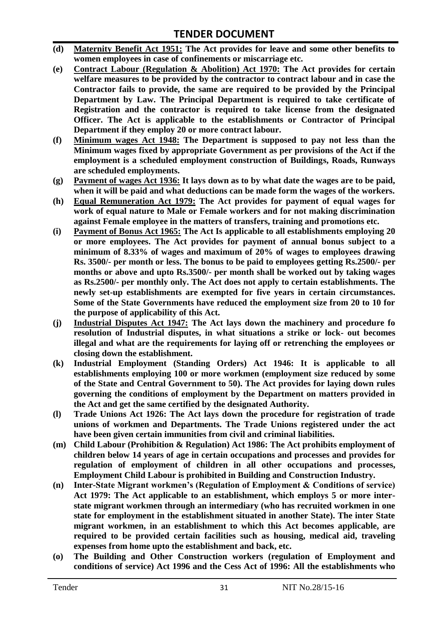- **(d) Maternity Benefit Act 1951: The Act provides for leave and some other benefits to women employees in case of confinements or miscarriage etc.**
- **(e) Contract Labour (Regulation & Abolition) Act 1970: The Act provides for certain welfare measures to be provided by the contractor to contract labour and in case the Contractor fails to provide, the same are required to be provided by the Principal Department by Law. The Principal Department is required to take certificate of Registration and the contractor is required to take license from the designated Officer. The Act is applicable to the establishments or Contractor of Principal Department if they employ 20 or more contract labour.**
- **(f) Minimum wages Act 1948: The Department is supposed to pay not less than the Minimum wages fixed by appropriate Government as per provisions of the Act if the employment is a scheduled employment construction of Buildings, Roads, Runways are scheduled employments.**
- **(g) Payment of wages Act 1936: It lays down as to by what date the wages are to be paid, when it will be paid and what deductions can be made form the wages of the workers.**
- **(h) Equal Remuneration Act 1979: The Act provides for payment of equal wages for work of equal nature to Male or Female workers and for not making discrimination against Female employee in the matters of transfers, training and promotions etc.**
- **(i) Payment of Bonus Act 1965: The Act Is applicable to all establishments employing 20 or more employees. The Act provides for payment of annual bonus subject to a minimum of 8.33% of wages and maximum of 20% of wages to employees drawing Rs. 3500/- per month or less. The bonus to be paid to employees getting Rs.2500/- per months or above and upto Rs.3500/- per month shall be worked out by taking wages as Rs.2500/- per monthly only. The Act does not apply to certain establishments. The newly set-up establishments are exempted for five years in certain circumstances. Some of the State Governments have reduced the employment size from 20 to 10 for the purpose of applicability of this Act.**
- **(j) Industrial Disputes Act 1947: The Act lays down the machinery and procedure fo resolution of Industrial disputes, in what situations a strike or lock- out becomes illegal and what are the requirements for laying off or retrenching the employees or closing down the establishment.**
- **(k) Industrial Employment (Standing Orders) Act 1946: It is applicable to all establishments employing 100 or more workmen (employment size reduced by some of the State and Central Government to 50). The Act provides for laying down rules governing the conditions of employment by the Department on matters provided in the Act and get the same certified by the designated Authority.**
- **(l) Trade Unions Act 1926: The Act lays down the procedure for registration of trade unions of workmen and Departments. The Trade Unions registered under the act have been given certain immunities from civil and criminal liabilities.**
- **(m) Child Labour (Prohibition & Regulation) Act 1986: The Act prohibits employment of children below 14 years of age in certain occupations and processes and provides for regulation of employment of children in all other occupations and processes, Employment Child Labour is prohibited in Building and Construction Industry.**
- **(n) Inter-State Migrant workmen's (Regulation of Employment & Conditions of service) Act 1979: The Act applicable to an establishment, which employs 5 or more interstate migrant workmen through an intermediary (who has recruited workmen in one state for employment in the establishment situated in another State). The inter State migrant workmen, in an establishment to which this Act becomes applicable, are required to be provided certain facilities such as housing, medical aid, traveling expenses from home upto the establishment and back, etc.**
- **(o) The Building and Other Construction workers (regulation of Employment and conditions of service) Act 1996 and the Cess Act of 1996: All the establishments who**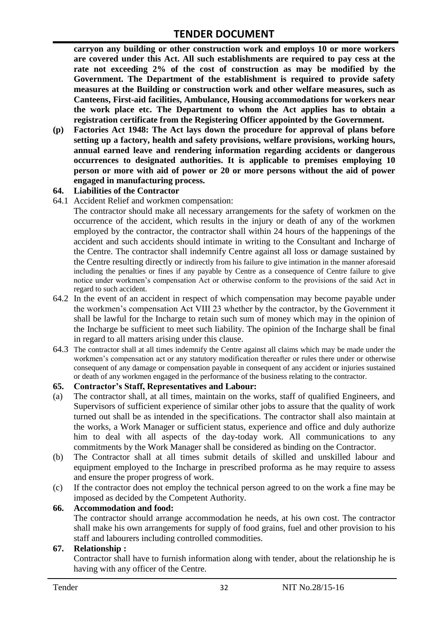**carryon any building or other construction work and employs 10 or more workers are covered under this Act. All such establishments are required to pay cess at the rate not exceeding 2% of the cost of construction as may be modified by the Government. The Department of the establishment is required to provide safety measures at the Building or construction work and other welfare measures, such as Canteens, First-aid facilities, Ambulance, Housing accommodations for workers near the work place etc. The Department to whom the Act applies has to obtain a registration certificate from the Registering Officer appointed by the Government.**

**(p) Factories Act 1948: The Act lays down the procedure for approval of plans before setting up a factory, health and safety provisions, welfare provisions, working hours, annual earned leave and rendering information regarding accidents or dangerous occurrences to designated authorities. It is applicable to premises employing 10 person or more with aid of power or 20 or more persons without the aid of power engaged in manufacturing process.**

#### **64. Liabilities of the Contractor**

64.1 Accident Relief and workmen compensation:

The contractor should make all necessary arrangements for the safety of workmen on the occurrence of the accident, which results in the injury or death of any of the workmen employed by the contractor, the contractor shall within 24 hours of the happenings of the accident and such accidents should intimate in writing to the Consultant and Incharge of the Centre. The contractor shall indemnify Centre against all loss or damage sustained by the Centre resulting directly or indirectly from his failure to give intimation in the manner aforesaid including the penalties or fines if any payable by Centre as a consequence of Centre failure to give notice under workmen"s compensation Act or otherwise conform to the provisions of the said Act in regard to such accident.

- 64.2 In the event of an accident in respect of which compensation may become payable under the workmen"s compensation Act VIII 23 whether by the contractor, by the Government it shall be lawful for the Incharge to retain such sum of money which may in the opinion of the Incharge be sufficient to meet such liability. The opinion of the Incharge shall be final in regard to all matters arising under this clause.
- 64.3 The contractor shall at all times indemnify the Centre against all claims which may be made under the workmen"s compensation act or any statutory modification thereafter or rules there under or otherwise consequent of any damage or compensation payable in consequent of any accident or injuries sustained or death of any workmen engaged in the performance of the business relating to the contractor.

#### **65. Contractor's Staff, Representatives and Labour:**

- (a) The contractor shall, at all times, maintain on the works, staff of qualified Engineers, and Supervisors of sufficient experience of similar other jobs to assure that the quality of work turned out shall be as intended in the specifications. The contractor shall also maintain at the works, a Work Manager or sufficient status, experience and office and duly authorize him to deal with all aspects of the day-today work. All communications to any commitments by the Work Manager shall be considered as binding on the Contractor.
- (b) The Contractor shall at all times submit details of skilled and unskilled labour and equipment employed to the Incharge in prescribed proforma as he may require to assess and ensure the proper progress of work.
- (c) If the contractor does not employ the technical person agreed to on the work a fine may be imposed as decided by the Competent Authority.

#### **66. Accommodation and food:**

The contractor should arrange accommodation he needs, at his own cost. The contractor shall make his own arrangements for supply of food grains, fuel and other provision to his staff and labourers including controlled commodities.

#### **67. Relationship :**

Contractor shall have to furnish information along with tender, about the relationship he is having with any officer of the Centre.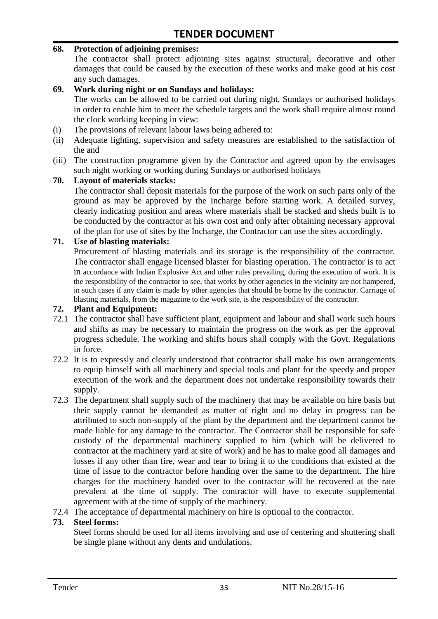#### **68. Protection of adjoining premises:**

The contractor shall protect adjoining sites against structural, decorative and other damages that could be caused by the execution of these works and make good at his cost any such damages.

#### **69. Work during night or on Sundays and holidays:**

The works can be allowed to be carried out during night, Sundays or authorised holidays in order to enable him to meet the schedule targets and the work shall require almost round the clock working keeping in view:

- (i) The provisions of relevant labour laws being adhered to:
- (ii) Adequate lighting, supervision and safety measures are established to the satisfaction of the and
- (iii) The construction programme given by the Contractor and agreed upon by the envisages such night working or working during Sundays or authorised holidays

#### **70. Layout of materials stacks:**

The contractor shall deposit materials for the purpose of the work on such parts only of the ground as may be approved by the Incharge before starting work. A detailed survey, clearly indicating position and areas where materials shall be stacked and sheds built is to be conducted by the contractor at his own cost and only after obtaining necessary approval of the plan for use of sites by the Incharge, the Contractor can use the sites accordingly.

#### **71. Use of blasting materials:**

Procurement of blasting materials and its storage is the responsibility of the contractor. The contractor shall engage licensed blaster for blasting operation. The contractor is to act in accordance with Indian Explosive Act and other rules prevailing, during the execution of work. It is the responsibility of the contractor to see, that works by other agencies in the vicinity are not hampered, in such cases if any claim is made by other agencies that should be borne by the contractor. Carriage of blasting materials, from the magazine to the work site, is the responsibility of the contractor.

#### **72. Plant and Equipment:**

- 72.1 The contractor shall have sufficient plant, equipment and labour and shall work such hours and shifts as may be necessary to maintain the progress on the work as per the approval progress schedule. The working and shifts hours shall comply with the Govt. Regulations in force.
- 72.2 It is to expressly and clearly understood that contractor shall make his own arrangements to equip himself with all machinery and special tools and plant for the speedy and proper execution of the work and the department does not undertake responsibility towards their supply.
- 72.3 The department shall supply such of the machinery that may be available on hire basis but their supply cannot be demanded as matter of right and no delay in progress can be attributed to such non-supply of the plant by the department and the department cannot be made liable for any damage to the contractor. The Contractor shall be responsible for safe custody of the departmental machinery supplied to him (which will be delivered to contractor at the machinery yard at site of work) and he has to make good all damages and losses if any other than fire, wear and tear to bring it to the conditions that existed at the time of issue to the contractor before handing over the same to the department. The hire charges for the machinery handed over to the contractor will be recovered at the rate prevalent at the time of supply. The contractor will have to execute supplemental agreement with at the time of supply of the machinery.
- 72.4 The acceptance of departmental machinery on hire is optional to the contractor.

#### **73. Steel forms:**

Steel forms should be used for all items involving and use of centering and shuttering shall be single plane without any dents and undulations.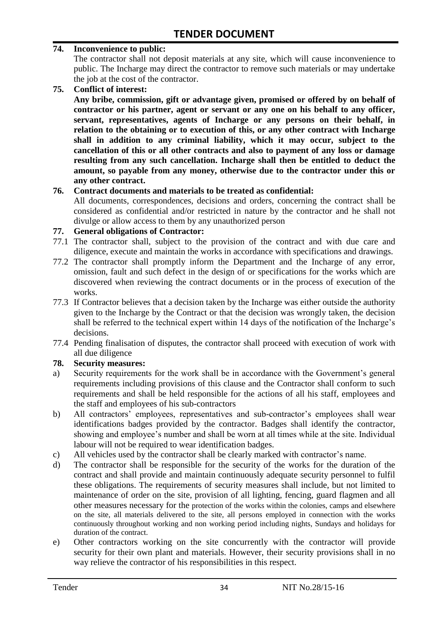#### **74. Inconvenience to public:**

The contractor shall not deposit materials at any site, which will cause inconvenience to public. The Incharge may direct the contractor to remove such materials or may undertake the job at the cost of the contractor.

**75. Conflict of interest:**

**Any bribe, commission, gift or advantage given, promised or offered by on behalf of contractor or his partner, agent or servant or any one on his behalf to any officer, servant, representatives, agents of Incharge or any persons on their behalf, in relation to the obtaining or to execution of this, or any other contract with Incharge shall in addition to any criminal liability, which it may occur, subject to the cancellation of this or all other contracts and also to payment of any loss or damage resulting from any such cancellation. Incharge shall then be entitled to deduct the amount, so payable from any money, otherwise due to the contractor under this or any other contract.**

#### **76. Contract documents and materials to be treated as confidential:**

All documents, correspondences, decisions and orders, concerning the contract shall be considered as confidential and/or restricted in nature by the contractor and he shall not divulge or allow access to them by any unauthorized person

#### **77. General obligations of Contractor:**

- 77.1 The contractor shall, subject to the provision of the contract and with due care and diligence, execute and maintain the works in accordance with specifications and drawings.
- 77.2 The contractor shall promptly inform the Department and the Incharge of any error, omission, fault and such defect in the design of or specifications for the works which are discovered when reviewing the contract documents or in the process of execution of the works.
- 77.3 If Contractor believes that a decision taken by the Incharge was either outside the authority given to the Incharge by the Contract or that the decision was wrongly taken, the decision shall be referred to the technical expert within 14 days of the notification of the Incharge's decisions.
- 77.4 Pending finalisation of disputes, the contractor shall proceed with execution of work with all due diligence

#### **78. Security measures:**

- a) Security requirements for the work shall be in accordance with the Government's general requirements including provisions of this clause and the Contractor shall conform to such requirements and shall be held responsible for the actions of all his staff, employees and the staff and employees of his sub-contractors
- b) All contractors' employees, representatives and sub-contractor's employees shall wear identifications badges provided by the contractor. Badges shall identify the contractor, showing and employee's number and shall be worn at all times while at the site. Individual labour will not be required to wear identification badges.
- c) All vehicles used by the contractor shall be clearly marked with contractor"s name.
- d) The contractor shall be responsible for the security of the works for the duration of the contract and shall provide and maintain continuously adequate security personnel to fulfil these obligations. The requirements of security measures shall include, but not limited to maintenance of order on the site, provision of all lighting, fencing, guard flagmen and all other measures necessary for the protection of the works within the colonies, camps and elsewhere on the site, all materials delivered to the site, all persons employed in connection with the works continuously throughout working and non working period including nights, Sundays and holidays for duration of the contract.
- e) Other contractors working on the site concurrently with the contractor will provide security for their own plant and materials. However, their security provisions shall in no way relieve the contractor of his responsibilities in this respect.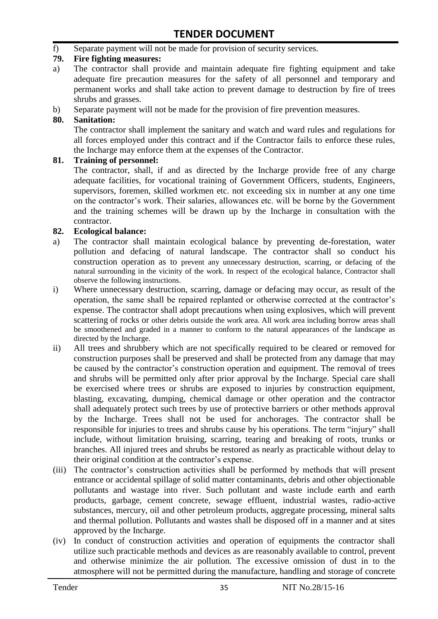f) Separate payment will not be made for provision of security services.

#### **79. Fire fighting measures:**

- a) The contractor shall provide and maintain adequate fire fighting equipment and take adequate fire precaution measures for the safety of all personnel and temporary and permanent works and shall take action to prevent damage to destruction by fire of trees shrubs and grasses.
- b) Separate payment will not be made for the provision of fire prevention measures.

#### **80. Sanitation:**

The contractor shall implement the sanitary and watch and ward rules and regulations for all forces employed under this contract and if the Contractor fails to enforce these rules, the Incharge may enforce them at the expenses of the Contractor.

#### **81. Training of personnel:**

The contractor, shall, if and as directed by the Incharge provide free of any charge adequate facilities, for vocational training of Government Officers, students, Engineers, supervisors, foremen, skilled workmen etc. not exceeding six in number at any one time on the contractor"s work. Their salaries, allowances etc. will be borne by the Government and the training schemes will be drawn up by the Incharge in consultation with the contractor.

#### **82. Ecological balance:**

- a) The contractor shall maintain ecological balance by preventing de-forestation, water pollution and defacing of natural landscape. The contractor shall so conduct his construction operation as to prevent any unnecessary destruction, scarring, or defacing of the natural surrounding in the vicinity of the work. In respect of the ecological balance, Contractor shall observe the following instructions.
- i) Where unnecessary destruction, scarring, damage or defacing may occur, as result of the operation, the same shall be repaired replanted or otherwise corrected at the contractor"s expense. The contractor shall adopt precautions when using explosives, which will prevent scattering of rocks or other debris outside the work area. All work area including borrow areas shall be smoothened and graded in a manner to conform to the natural appearances of the landscape as directed by the Incharge.
- ii) All trees and shrubbery which are not specifically required to be cleared or removed for construction purposes shall be preserved and shall be protected from any damage that may be caused by the contractor's construction operation and equipment. The removal of trees and shrubs will be permitted only after prior approval by the Incharge. Special care shall be exercised where trees or shrubs are exposed to injuries by construction equipment, blasting, excavating, dumping, chemical damage or other operation and the contractor shall adequately protect such trees by use of protective barriers or other methods approval by the Incharge. Trees shall not be used for anchorages. The contractor shall be responsible for injuries to trees and shrubs cause by his operations. The term "injury" shall include, without limitation bruising, scarring, tearing and breaking of roots, trunks or branches. All injured trees and shrubs be restored as nearly as practicable without delay to their original condition at the contractor"s expense.
- (iii) The contractor's construction activities shall be performed by methods that will present entrance or accidental spillage of solid matter contaminants, debris and other objectionable pollutants and wastage into river. Such pollutant and waste include earth and earth products, garbage, cement concrete, sewage effluent, industrial wastes, radio-active substances, mercury, oil and other petroleum products, aggregate processing, mineral salts and thermal pollution. Pollutants and wastes shall be disposed off in a manner and at sites approved by the Incharge.
- (iv) In conduct of construction activities and operation of equipments the contractor shall utilize such practicable methods and devices as are reasonably available to control, prevent and otherwise minimize the air pollution. The excessive omission of dust in to the atmosphere will not be permitted during the manufacture, handling and storage of concrete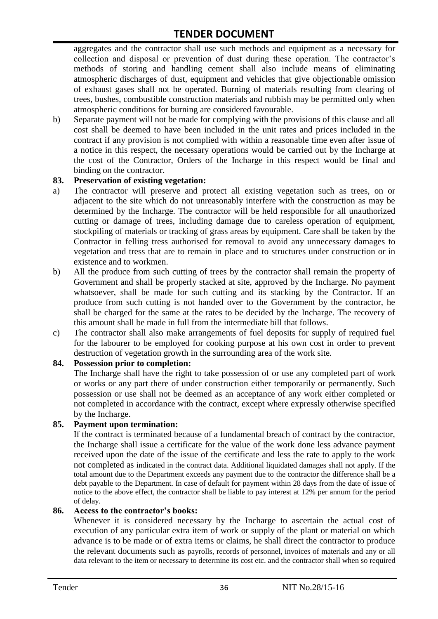aggregates and the contractor shall use such methods and equipment as a necessary for collection and disposal or prevention of dust during these operation. The contractor's methods of storing and handling cement shall also include means of eliminating atmospheric discharges of dust, equipment and vehicles that give objectionable omission of exhaust gases shall not be operated. Burning of materials resulting from clearing of trees, bushes, combustible construction materials and rubbish may be permitted only when atmospheric conditions for burning are considered favourable.

b) Separate payment will not be made for complying with the provisions of this clause and all cost shall be deemed to have been included in the unit rates and prices included in the contract if any provision is not complied with within a reasonable time even after issue of a notice in this respect, the necessary operations would be carried out by the Incharge at the cost of the Contractor, Orders of the Incharge in this respect would be final and binding on the contractor.

#### **83. Preservation of existing vegetation:**

- a) The contractor will preserve and protect all existing vegetation such as trees, on or adjacent to the site which do not unreasonably interfere with the construction as may be determined by the Incharge. The contractor will be held responsible for all unauthorized cutting or damage of trees, including damage due to careless operation of equipment, stockpiling of materials or tracking of grass areas by equipment. Care shall be taken by the Contractor in felling tress authorised for removal to avoid any unnecessary damages to vegetation and tress that are to remain in place and to structures under construction or in existence and to workmen.
- b) All the produce from such cutting of trees by the contractor shall remain the property of Government and shall be properly stacked at site, approved by the Incharge. No payment whatsoever, shall be made for such cutting and its stacking by the Contractor. If an produce from such cutting is not handed over to the Government by the contractor, he shall be charged for the same at the rates to be decided by the Incharge. The recovery of this amount shall be made in full from the intermediate bill that follows.
- c) The contractor shall also make arrangements of fuel deposits for supply of required fuel for the labourer to be employed for cooking purpose at his own cost in order to prevent destruction of vegetation growth in the surrounding area of the work site.

#### **84. Possession prior to completion:**

The Incharge shall have the right to take possession of or use any completed part of work or works or any part there of under construction either temporarily or permanently. Such possession or use shall not be deemed as an acceptance of any work either completed or not completed in accordance with the contract, except where expressly otherwise specified by the Incharge.

#### **85. Payment upon termination:**

If the contract is terminated because of a fundamental breach of contract by the contractor, the Incharge shall issue a certificate for the value of the work done less advance payment received upon the date of the issue of the certificate and less the rate to apply to the work not completed as indicated in the contract data. Additional liquidated damages shall not apply. If the total amount due to the Department exceeds any payment due to the contractor the difference shall be a debt payable to the Department. In case of default for payment within 28 days from the date of issue of notice to the above effect, the contractor shall be liable to pay interest at 12% per annum for the period of delay.

#### **86. Access to the contractor's books:**

Whenever it is considered necessary by the Incharge to ascertain the actual cost of execution of any particular extra item of work or supply of the plant or material on which advance is to be made or of extra items or claims, he shall direct the contractor to produce the relevant documents such as payrolls, records of personnel, invoices of materials and any or all data relevant to the item or necessary to determine its cost etc. and the contractor shall when so required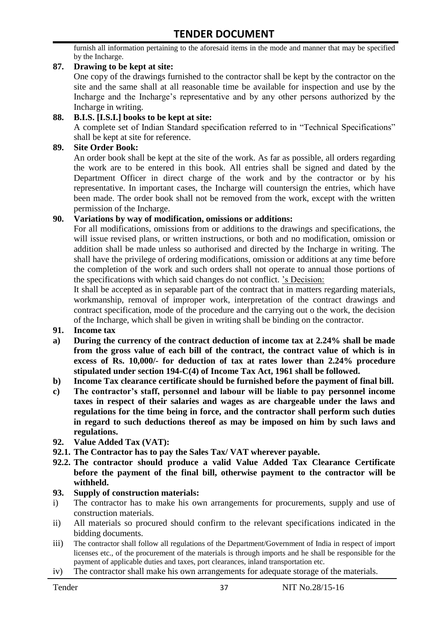furnish all information pertaining to the aforesaid items in the mode and manner that may be specified by the Incharge.

#### **87. Drawing to be kept at site:**

One copy of the drawings furnished to the contractor shall be kept by the contractor on the site and the same shall at all reasonable time be available for inspection and use by the Incharge and the Incharge"s representative and by any other persons authorized by the Incharge in writing.

#### **88. B.I.S. [I.S.I.] books to be kept at site:**

A complete set of Indian Standard specification referred to in "Technical Specifications" shall be kept at site for reference.

#### **89. Site Order Book:**

An order book shall be kept at the site of the work. As far as possible, all orders regarding the work are to be entered in this book. All entries shall be signed and dated by the Department Officer in direct charge of the work and by the contractor or by his representative. In important cases, the Incharge will countersign the entries, which have been made. The order book shall not be removed from the work, except with the written permission of the Incharge.

#### **90. Variations by way of modification, omissions or additions:**

For all modifications, omissions from or additions to the drawings and specifications, the will issue revised plans, or written instructions, or both and no modification, omission or addition shall be made unless so authorised and directed by the Incharge in writing. The shall have the privilege of ordering modifications, omission or additions at any time before the completion of the work and such orders shall not operate to annual those portions of the specifications with which said changes do not conflict. "s Decision:

It shall be accepted as in separable part of the contract that in matters regarding materials, workmanship, removal of improper work, interpretation of the contract drawings and contract specification, mode of the procedure and the carrying out o the work, the decision of the Incharge, which shall be given in writing shall be binding on the contractor.

- **91. Income tax**
- **a) During the currency of the contract deduction of income tax at 2.24% shall be made from the gross value of each bill of the contract, the contract value of which is in excess of Rs. 10,000/- for deduction of tax at rates lower than 2.24% procedure stipulated under section 194-C(4) of Income Tax Act, 1961 shall be followed.**
- **b) Income Tax clearance certificate should be furnished before the payment of final bill.**
- **c) The contractor's staff, personnel and labour will be liable to pay personnel income taxes in respect of their salaries and wages as are chargeable under the laws and regulations for the time being in force, and the contractor shall perform such duties in regard to such deductions thereof as may be imposed on him by such laws and regulations.**
- **92. Value Added Tax (VAT):**
- **92.1. The Contractor has to pay the Sales Tax/ VAT wherever payable.**
- **92.2. The contractor should produce a valid Value Added Tax Clearance Certificate before the payment of the final bill, otherwise payment to the contractor will be withheld.**

#### **93. Supply of construction materials:**

- i) The contractor has to make his own arrangements for procurements, supply and use of construction materials.
- ii) All materials so procured should confirm to the relevant specifications indicated in the bidding documents.
- iii) The contractor shall follow all regulations of the Department/Government of India in respect of import licenses etc., of the procurement of the materials is through imports and he shall be responsible for the payment of applicable duties and taxes, port clearances, inland transportation etc.
- iv) The contractor shall make his own arrangements for adequate storage of the materials.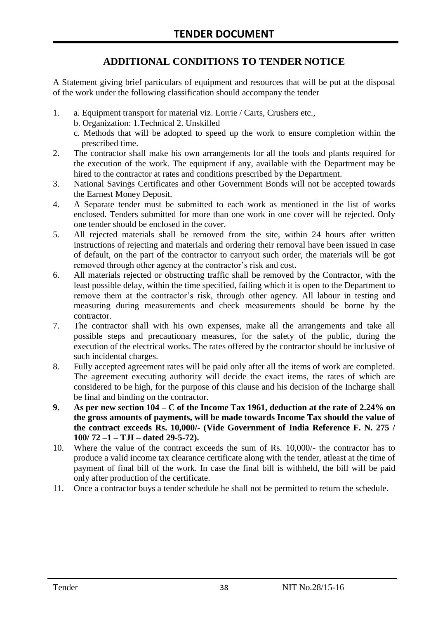# **ADDITIONAL CONDITIONS TO TENDER NOTICE**

A Statement giving brief particulars of equipment and resources that will be put at the disposal of the work under the following classification should accompany the tender

- 1. a. Equipment transport for material viz. Lorrie / Carts, Crushers etc.,
	- b. Organization: 1.Technical 2. Unskilled
	- c. Methods that will be adopted to speed up the work to ensure completion within the prescribed time.
- 2. The contractor shall make his own arrangements for all the tools and plants required for the execution of the work. The equipment if any, available with the Department may be hired to the contractor at rates and conditions prescribed by the Department.
- 3. National Savings Certificates and other Government Bonds will not be accepted towards the Earnest Money Deposit.
- 4. A Separate tender must be submitted to each work as mentioned in the list of works enclosed. Tenders submitted for more than one work in one cover will be rejected. Only one tender should be enclosed in the cover.
- 5. All rejected materials shall be removed from the site, within 24 hours after written instructions of rejecting and materials and ordering their removal have been issued in case of default, on the part of the contractor to carryout such order, the materials will be got removed through other agency at the contractor's risk and cost.
- 6. All materials rejected or obstructing traffic shall be removed by the Contractor, with the least possible delay, within the time specified, failing which it is open to the Department to remove them at the contractor's risk, through other agency. All labour in testing and measuring during measurements and check measurements should be borne by the contractor.
- 7. The contractor shall with his own expenses, make all the arrangements and take all possible steps and precautionary measures, for the safety of the public, during the execution of the electrical works. The rates offered by the contractor should be inclusive of such incidental charges.
- 8. Fully accepted agreement rates will be paid only after all the items of work are completed. The agreement executing authority will decide the exact items, the rates of which are considered to be high, for the purpose of this clause and his decision of the Incharge shall be final and binding on the contractor.
- **9. As per new section 104 – C of the Income Tax 1961, deduction at the rate of 2.24% on the gross amounts of payments, will be made towards Income Tax should the value of the contract exceeds Rs. 10,000/- (Vide Government of India Reference F. N. 275 / 100/ 72 –1 – TJI – dated 29-5-72).**
- 10. Where the value of the contract exceeds the sum of Rs. 10,000/- the contractor has to produce a valid income tax clearance certificate along with the tender, atleast at the time of payment of final bill of the work. In case the final bill is withheld, the bill will be paid only after production of the certificate.
- 11. Once a contractor buys a tender schedule he shall not be permitted to return the schedule.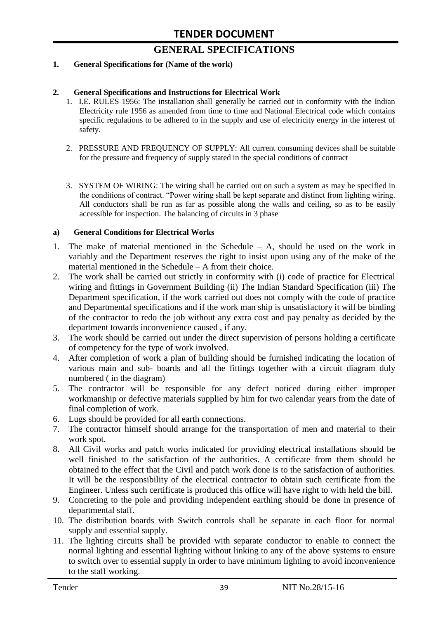# **GENERAL SPECIFICATIONS**

#### **1. General Specifications for (Name of the work)**

#### **2. General Specifications and Instructions for Electrical Work**

- 1. I.E. RULES 1956: The installation shall generally be carried out in conformity with the Indian Electricity rule 1956 as amended from time to time and National Electrical code which contains specific regulations to be adhered to in the supply and use of electricity energy in the interest of safety.
- 2. PRESSURE AND FREQUENCY OF SUPPLY: All current consuming devices shall be suitable for the pressure and frequency of supply stated in the special conditions of contract
- 3. SYSTEM OF WIRING: The wiring shall be carried out on such a system as may be specified in the conditions of contract. "Power wiring shall be kept separate and distinct from lighting wiring. All conductors shall be run as far as possible along the walls and ceiling, so as to be easily accessible for inspection. The balancing of circuits in 3 phase

#### **a) General Conditions for Electrical Works**

- 1. The make of material mentioned in the Schedule A, should be used on the work in variably and the Department reserves the right to insist upon using any of the make of the material mentioned in the Schedule – A from their choice.
- 2. The work shall be carried out strictly in conformity with (i) code of practice for Electrical wiring and fittings in Government Building (ii) The Indian Standard Specification (iii) The Department specification, if the work carried out does not comply with the code of practice and Departmental specifications and if the work man ship is unsatisfactory it will be binding of the contractor to redo the job without any extra cost and pay penalty as decided by the department towards inconvenience caused , if any.
- 3. The work should be carried out under the direct supervision of persons holding a certificate of competency for the type of work involved.
- 4. After completion of work a plan of building should be furnished indicating the location of various main and sub- boards and all the fittings together with a circuit diagram duly numbered ( in the diagram)
- 5. The contractor will be responsible for any defect noticed during either improper workmanship or defective materials supplied by him for two calendar years from the date of final completion of work.
- 6. Lugs should be provided for all earth connections.
- 7. The contractor himself should arrange for the transportation of men and material to their work spot.
- 8. All Civil works and patch works indicated for providing electrical installations should be well finished to the satisfaction of the authorities. A certificate from them should be obtained to the effect that the Civil and patch work done is to the satisfaction of authorities. It will be the responsibility of the electrical contractor to obtain such certificate from the Engineer. Unless such certificate is produced this office will have right to with held the bill.
- 9. Concreting to the pole and providing independent earthing should be done in presence of departmental staff.
- 10. The distribution boards with Switch controls shall be separate in each floor for normal supply and essential supply.
- 11. The lighting circuits shall be provided with separate conductor to enable to connect the normal lighting and essential lighting without linking to any of the above systems to ensure to switch over to essential supply in order to have minimum lighting to avoid inconvenience to the staff working.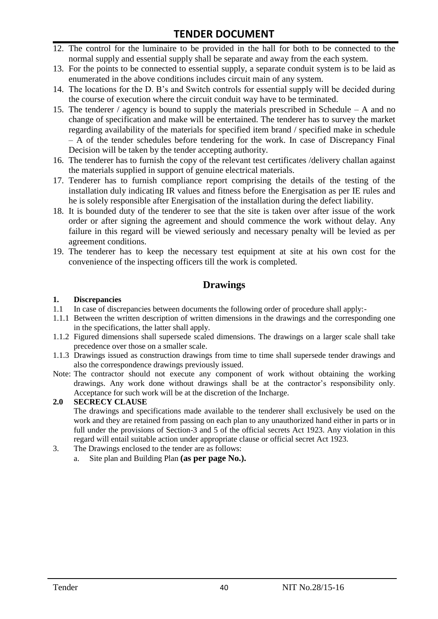- 12. The control for the luminaire to be provided in the hall for both to be connected to the normal supply and essential supply shall be separate and away from the each system.
- 13. For the points to be connected to essential supply, a separate conduit system is to be laid as enumerated in the above conditions includes circuit main of any system.
- 14. The locations for the D. B"s and Switch controls for essential supply will be decided during the course of execution where the circuit conduit way have to be terminated.
- 15. The tenderer / agency is bound to supply the materials prescribed in Schedule A and no change of specification and make will be entertained. The tenderer has to survey the market regarding availability of the materials for specified item brand / specified make in schedule – A of the tender schedules before tendering for the work. In case of Discrepancy Final Decision will be taken by the tender accepting authority.
- 16. The tenderer has to furnish the copy of the relevant test certificates /delivery challan against the materials supplied in support of genuine electrical materials.
- 17. Tenderer has to furnish compliance report comprising the details of the testing of the installation duly indicating IR values and fitness before the Energisation as per IE rules and he is solely responsible after Energisation of the installation during the defect liability.
- 18. It is bounded duty of the tenderer to see that the site is taken over after issue of the work order or after signing the agreement and should commence the work without delay. Any failure in this regard will be viewed seriously and necessary penalty will be levied as per agreement conditions.
- 19. The tenderer has to keep the necessary test equipment at site at his own cost for the convenience of the inspecting officers till the work is completed.

#### **Drawings**

#### **1. Discrepancies**

- 1.1 In case of discrepancies between documents the following order of procedure shall apply:-
- 1.1.1 Between the written description of written dimensions in the drawings and the corresponding one in the specifications, the latter shall apply.
- 1.1.2 Figured dimensions shall supersede scaled dimensions. The drawings on a larger scale shall take precedence over those on a smaller scale.
- 1.1.3 Drawings issued as construction drawings from time to time shall supersede tender drawings and also the correspondence drawings previously issued.
- Note: The contractor should not execute any component of work without obtaining the working drawings. Any work done without drawings shall be at the contractor"s responsibility only. Acceptance for such work will be at the discretion of the Incharge.

#### **2.0 SECRECY CLAUSE**

The drawings and specifications made available to the tenderer shall exclusively be used on the work and they are retained from passing on each plan to any unauthorized hand either in parts or in full under the provisions of Section-3 and 5 of the official secrets Act 1923. Any violation in this regard will entail suitable action under appropriate clause or official secret Act 1923.

- 3. The Drawings enclosed to the tender are as follows:
	- a. Site plan and Building Plan **(as per page No.).**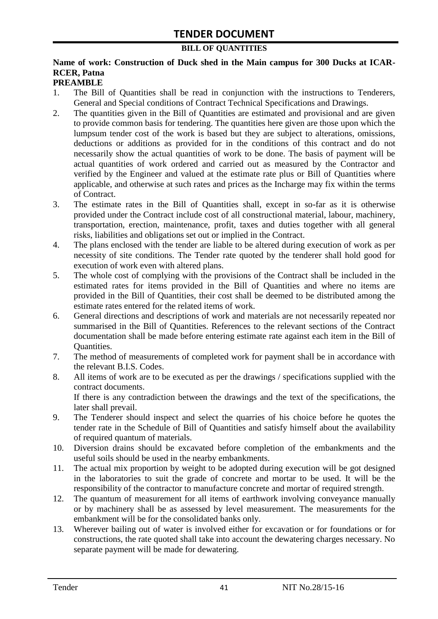#### **BILL OF QUANTITIES**

### **Name of work: Construction of Duck shed in the Main campus for 300 Ducks at ICAR-RCER, Patna**

#### **PREAMBLE**

- 1. The Bill of Quantities shall be read in conjunction with the instructions to Tenderers, General and Special conditions of Contract Technical Specifications and Drawings.
- 2. The quantities given in the Bill of Quantities are estimated and provisional and are given to provide common basis for tendering. The quantities here given are those upon which the lumpsum tender cost of the work is based but they are subject to alterations, omissions, deductions or additions as provided for in the conditions of this contract and do not necessarily show the actual quantities of work to be done. The basis of payment will be actual quantities of work ordered and carried out as measured by the Contractor and verified by the Engineer and valued at the estimate rate plus or Bill of Quantities where applicable, and otherwise at such rates and prices as the Incharge may fix within the terms of Contract.
- 3. The estimate rates in the Bill of Quantities shall, except in so-far as it is otherwise provided under the Contract include cost of all constructional material, labour, machinery, transportation, erection, maintenance, profit, taxes and duties together with all general risks, liabilities and obligations set out or implied in the Contract.
- 4. The plans enclosed with the tender are liable to be altered during execution of work as per necessity of site conditions. The Tender rate quoted by the tenderer shall hold good for execution of work even with altered plans.
- 5. The whole cost of complying with the provisions of the Contract shall be included in the estimated rates for items provided in the Bill of Quantities and where no items are provided in the Bill of Quantities, their cost shall be deemed to be distributed among the estimate rates entered for the related items of work.
- 6. General directions and descriptions of work and materials are not necessarily repeated nor summarised in the Bill of Quantities. References to the relevant sections of the Contract documentation shall be made before entering estimate rate against each item in the Bill of Quantities.
- 7. The method of measurements of completed work for payment shall be in accordance with the relevant B.I.S. Codes.
- 8. All items of work are to be executed as per the drawings / specifications supplied with the contract documents. If there is any contradiction between the drawings and the text of the specifications, the

later shall prevail.

- 9. The Tenderer should inspect and select the quarries of his choice before he quotes the tender rate in the Schedule of Bill of Quantities and satisfy himself about the availability of required quantum of materials.
- 10. Diversion drains should be excavated before completion of the embankments and the useful soils should be used in the nearby embankments.
- 11. The actual mix proportion by weight to be adopted during execution will be got designed in the laboratories to suit the grade of concrete and mortar to be used. It will be the responsibility of the contractor to manufacture concrete and mortar of required strength.
- 12. The quantum of measurement for all items of earthwork involving conveyance manually or by machinery shall be as assessed by level measurement. The measurements for the embankment will be for the consolidated banks only.
- 13. Wherever bailing out of water is involved either for excavation or for foundations or for constructions, the rate quoted shall take into account the dewatering charges necessary. No separate payment will be made for dewatering.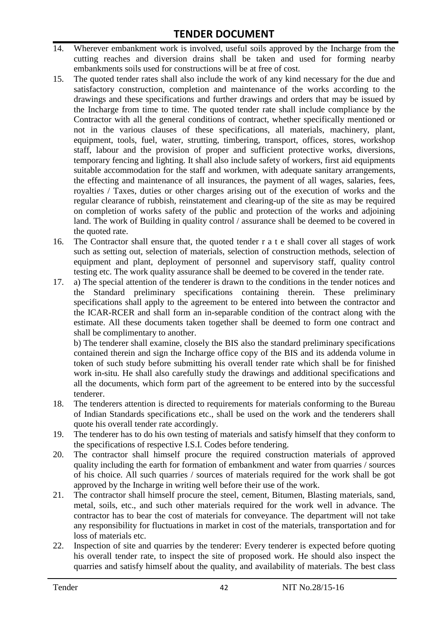- 14. Wherever embankment work is involved, useful soils approved by the Incharge from the cutting reaches and diversion drains shall be taken and used for forming nearby embankments soils used for constructions will be at free of cost.
- 15. The quoted tender rates shall also include the work of any kind necessary for the due and satisfactory construction, completion and maintenance of the works according to the drawings and these specifications and further drawings and orders that may be issued by the Incharge from time to time. The quoted tender rate shall include compliance by the Contractor with all the general conditions of contract, whether specifically mentioned or not in the various clauses of these specifications, all materials, machinery, plant, equipment, tools, fuel, water, strutting, timbering, transport, offices, stores, workshop staff, labour and the provision of proper and sufficient protective works, diversions, temporary fencing and lighting. It shall also include safety of workers, first aid equipments suitable accommodation for the staff and workmen, with adequate sanitary arrangements, the effecting and maintenance of all insurances, the payment of all wages, salaries, fees, royalties / Taxes, duties or other charges arising out of the execution of works and the regular clearance of rubbish, reinstatement and clearing-up of the site as may be required on completion of works safety of the public and protection of the works and adjoining land. The work of Building in quality control / assurance shall be deemed to be covered in the quoted rate.
- 16. The Contractor shall ensure that, the quoted tender r a t e shall cover all stages of work such as setting out, selection of materials, selection of construction methods, selection of equipment and plant, deployment of personnel and supervisory staff, quality control testing etc. The work quality assurance shall be deemed to be covered in the tender rate.
- 17. a) The special attention of the tenderer is drawn to the conditions in the tender notices and the Standard preliminary specifications containing therein. These preliminary specifications shall apply to the agreement to be entered into between the contractor and the ICAR-RCER and shall form an in-separable condition of the contract along with the estimate. All these documents taken together shall be deemed to form one contract and shall be complimentary to another.

b) The tenderer shall examine, closely the BIS also the standard preliminary specifications contained therein and sign the Incharge office copy of the BIS and its addenda volume in token of such study before submitting his overall tender rate which shall be for finished work in-situ. He shall also carefully study the drawings and additional specifications and all the documents, which form part of the agreement to be entered into by the successful tenderer.

- 18. The tenderers attention is directed to requirements for materials conforming to the Bureau of Indian Standards specifications etc., shall be used on the work and the tenderers shall quote his overall tender rate accordingly.
- 19. The tenderer has to do his own testing of materials and satisfy himself that they conform to the specifications of respective I.S.I. Codes before tendering.
- 20. The contractor shall himself procure the required construction materials of approved quality including the earth for formation of embankment and water from quarries / sources of his choice. All such quarries / sources of materials required for the work shall be got approved by the Incharge in writing well before their use of the work.
- 21. The contractor shall himself procure the steel, cement, Bitumen, Blasting materials, sand, metal, soils, etc., and such other materials required for the work well in advance. The contractor has to bear the cost of materials for conveyance. The department will not take any responsibility for fluctuations in market in cost of the materials, transportation and for loss of materials etc.
- 22. Inspection of site and quarries by the tenderer: Every tenderer is expected before quoting his overall tender rate, to inspect the site of proposed work. He should also inspect the quarries and satisfy himself about the quality, and availability of materials. The best class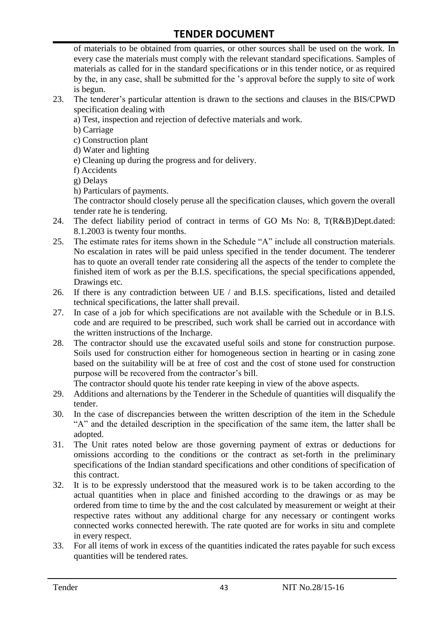of materials to be obtained from quarries, or other sources shall be used on the work. In every case the materials must comply with the relevant standard specifications. Samples of materials as called for in the standard specifications or in this tender notice, or as required by the, in any case, shall be submitted for the "s approval before the supply to site of work is begun.

- 23. The tenderer"s particular attention is drawn to the sections and clauses in the BIS/CPWD specification dealing with
	- a) Test, inspection and rejection of defective materials and work.
	- b) Carriage
	- c) Construction plant
	- d) Water and lighting
	- e) Cleaning up during the progress and for delivery.
	- f) Accidents
	- g) Delays
	- h) Particulars of payments.

The contractor should closely peruse all the specification clauses, which govern the overall tender rate he is tendering.

- 24. The defect liability period of contract in terms of GO Ms No: 8, T(R&B)Dept.dated: 8.1.2003 is twenty four months.
- 25. The estimate rates for items shown in the Schedule "A" include all construction materials. No escalation in rates will be paid unless specified in the tender document. The tenderer has to quote an overall tender rate considering all the aspects of the tender to complete the finished item of work as per the B.I.S. specifications, the special specifications appended, Drawings etc.
- 26. If there is any contradiction between UE / and B.I.S. specifications, listed and detailed technical specifications, the latter shall prevail.
- 27. In case of a job for which specifications are not available with the Schedule or in B.I.S. code and are required to be prescribed, such work shall be carried out in accordance with the written instructions of the Incharge.
- 28. The contractor should use the excavated useful soils and stone for construction purpose. Soils used for construction either for homogeneous section in hearting or in casing zone based on the suitability will be at free of cost and the cost of stone used for construction purpose will be recovered from the contractor's bill.

The contractor should quote his tender rate keeping in view of the above aspects.

- 29. Additions and alternations by the Tenderer in the Schedule of quantities will disqualify the tender.
- 30. In the case of discrepancies between the written description of the item in the Schedule "A" and the detailed description in the specification of the same item, the latter shall be adopted.
- 31. The Unit rates noted below are those governing payment of extras or deductions for omissions according to the conditions or the contract as set-forth in the preliminary specifications of the Indian standard specifications and other conditions of specification of this contract.
- 32. It is to be expressly understood that the measured work is to be taken according to the actual quantities when in place and finished according to the drawings or as may be ordered from time to time by the and the cost calculated by measurement or weight at their respective rates without any additional charge for any necessary or contingent works connected works connected herewith. The rate quoted are for works in situ and complete in every respect.
- 33. For all items of work in excess of the quantities indicated the rates payable for such excess quantities will be tendered rates.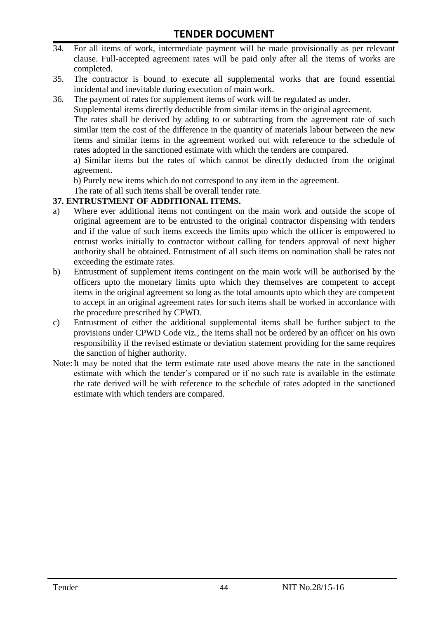- 34. For all items of work, intermediate payment will be made provisionally as per relevant clause. Full-accepted agreement rates will be paid only after all the items of works are completed.
- 35. The contractor is bound to execute all supplemental works that are found essential incidental and inevitable during execution of main work.
- 36. The payment of rates for supplement items of work will be regulated as under.

Supplemental items directly deductible from similar items in the original agreement.

The rates shall be derived by adding to or subtracting from the agreement rate of such similar item the cost of the difference in the quantity of materials labour between the new items and similar items in the agreement worked out with reference to the schedule of rates adopted in the sanctioned estimate with which the tenders are compared.

a) Similar items but the rates of which cannot be directly deducted from the original agreement.

b) Purely new items which do not correspond to any item in the agreement.

The rate of all such items shall be overall tender rate.

#### **37. ENTRUSTMENT OF ADDITIONAL ITEMS.**

- a) Where ever additional items not contingent on the main work and outside the scope of original agreement are to be entrusted to the original contractor dispensing with tenders and if the value of such items exceeds the limits upto which the officer is empowered to entrust works initially to contractor without calling for tenders approval of next higher authority shall be obtained. Entrustment of all such items on nomination shall be rates not exceeding the estimate rates.
- b) Entrustment of supplement items contingent on the main work will be authorised by the officers upto the monetary limits upto which they themselves are competent to accept items in the original agreement so long as the total amounts upto which they are competent to accept in an original agreement rates for such items shall be worked in accordance with the procedure prescribed by CPWD.
- c) Entrustment of either the additional supplemental items shall be further subject to the provisions under CPWD Code viz., the items shall not be ordered by an officer on his own responsibility if the revised estimate or deviation statement providing for the same requires the sanction of higher authority.
- Note:It may be noted that the term estimate rate used above means the rate in the sanctioned estimate with which the tender"s compared or if no such rate is available in the estimate the rate derived will be with reference to the schedule of rates adopted in the sanctioned estimate with which tenders are compared.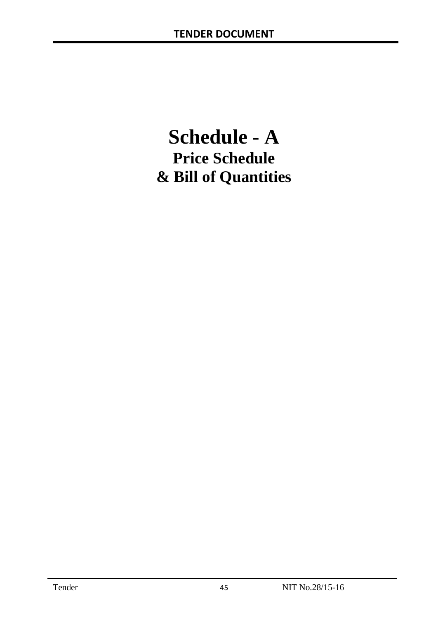# **Schedule - A Price Schedule & Bill of Quantities**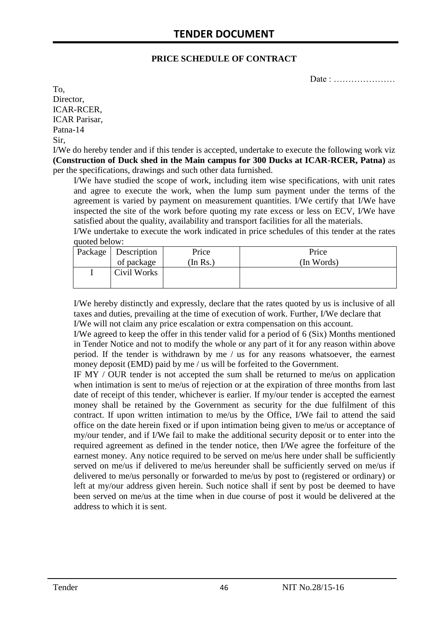#### **PRICE SCHEDULE OF CONTRACT**

Date : …………………

To, Director, ICAR-RCER, ICAR Parisar, Patna-14 Sir,

I/We do hereby tender and if this tender is accepted, undertake to execute the following work viz **(Construction of Duck shed in the Main campus for 300 Ducks at ICAR-RCER, Patna)** as per the specifications, drawings and such other data furnished.

I/We have studied the scope of work, including item wise specifications, with unit rates and agree to execute the work, when the lump sum payment under the terms of the agreement is varied by payment on measurement quantities. I/We certify that I/We have inspected the site of the work before quoting my rate excess or less on ECV, I/We have satisfied about the quality, availability and transport facilities for all the materials.

I/We undertake to execute the work indicated in price schedules of this tender at the rates quoted below:

| Package   Description | Price    | Price      |
|-----------------------|----------|------------|
| of package            | (In Rs.) | (In Words) |
| Civil Works           |          |            |
|                       |          |            |

I/We hereby distinctly and expressly, declare that the rates quoted by us is inclusive of all taxes and duties, prevailing at the time of execution of work. Further, I/We declare that I/We will not claim any price escalation or extra compensation on this account.

I/We agreed to keep the offer in this tender valid for a period of 6 (Six) Months mentioned in Tender Notice and not to modify the whole or any part of it for any reason within above period. If the tender is withdrawn by me / us for any reasons whatsoever, the earnest money deposit (EMD) paid by me / us will be forfeited to the Government.

IF MY / OUR tender is not accepted the sum shall be returned to me/us on application when intimation is sent to me/us of rejection or at the expiration of three months from last date of receipt of this tender, whichever is earlier. If my/our tender is accepted the earnest money shall be retained by the Government as security for the due fulfilment of this contract. If upon written intimation to me/us by the Office, I/We fail to attend the said office on the date herein fixed or if upon intimation being given to me/us or acceptance of my/our tender, and if I/We fail to make the additional security deposit or to enter into the required agreement as defined in the tender notice, then I/We agree the forfeiture of the earnest money. Any notice required to be served on me/us here under shall be sufficiently served on me/us if delivered to me/us hereunder shall be sufficiently served on me/us if delivered to me/us personally or forwarded to me/us by post to (registered or ordinary) or left at my/our address given herein. Such notice shall if sent by post be deemed to have been served on me/us at the time when in due course of post it would be delivered at the address to which it is sent.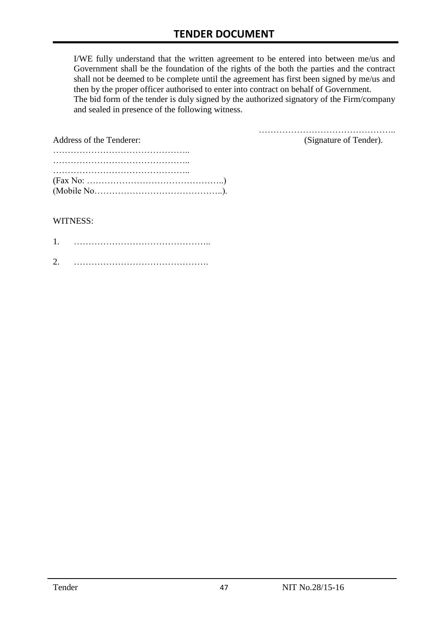I/WE fully understand that the written agreement to be entered into between me/us and Government shall be the foundation of the rights of the both the parties and the contract shall not be deemed to be complete until the agreement has first been signed by me/us and then by the proper officer authorised to enter into contract on behalf of Government. The bid form of the tender is duly signed by the authorized signatory of the Firm/company and sealed in presence of the following witness.

| Address of the Tenderer:                                                                         | (Signature of Tender). |
|--------------------------------------------------------------------------------------------------|------------------------|
|                                                                                                  |                        |
|                                                                                                  |                        |
| $(Fax No: \ldots \ldots \ldots \ldots \ldots \ldots \ldots \ldots \ldots \ldots \ldots \ldots))$ |                        |

#### WITNESS:

| ⌒ |  |
|---|--|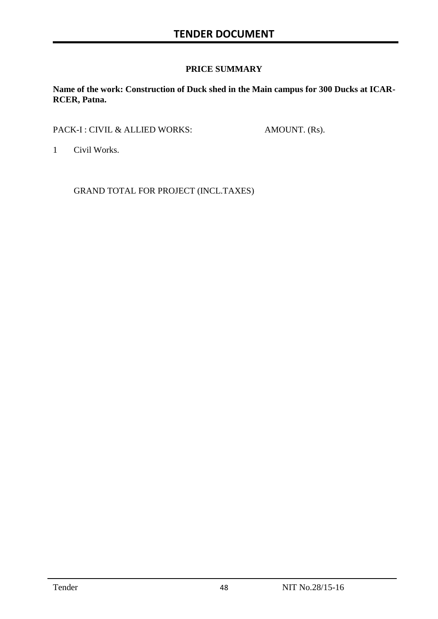#### **PRICE SUMMARY**

**Name of the work: Construction of Duck shed in the Main campus for 300 Ducks at ICAR-RCER, Patna.**

PACK-I : CIVIL & ALLIED WORKS: AMOUNT. (Rs).

1 Civil Works.

GRAND TOTAL FOR PROJECT (INCL.TAXES)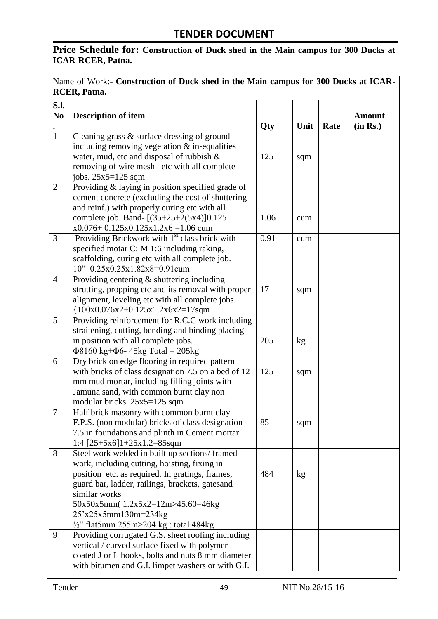# **Price Schedule for: Construction of Duck shed in the Main campus for 300 Ducks at ICAR-RCER, Patna.**

| Name of Work:- Construction of Duck shed in the Main campus for 300 Ducks at ICAR-<br><b>RCER</b> , Patna. |                                                                                              |      |      |      |               |  |
|------------------------------------------------------------------------------------------------------------|----------------------------------------------------------------------------------------------|------|------|------|---------------|--|
|                                                                                                            |                                                                                              |      |      |      |               |  |
| S.I.                                                                                                       |                                                                                              |      |      |      |               |  |
| N <sub>0</sub>                                                                                             | <b>Description of item</b>                                                                   |      |      |      | <b>Amount</b> |  |
| $\mathbf{1}$                                                                                               |                                                                                              | Qty  | Unit | Rate | (in Rs.)      |  |
|                                                                                                            | Cleaning grass $\&$ surface dressing of ground                                               |      |      |      |               |  |
|                                                                                                            | including removing vegetation $&$ in-equalities<br>water, mud, etc and disposal of rubbish & | 125  |      |      |               |  |
|                                                                                                            | removing of wire mesh etc with all complete                                                  |      | sqm  |      |               |  |
|                                                                                                            | jobs. 25x5=125 sqm                                                                           |      |      |      |               |  |
| $\overline{2}$                                                                                             | Providing & laying in position specified grade of                                            |      |      |      |               |  |
|                                                                                                            | cement concrete (excluding the cost of shuttering                                            |      |      |      |               |  |
|                                                                                                            | and reinf.) with properly curing etc with all                                                |      |      |      |               |  |
|                                                                                                            | complete job. Band- [(35+25+2(5x4)]0.125                                                     | 1.06 | cum  |      |               |  |
|                                                                                                            | $x0.076 + 0.125x0.125x1.2x6 = 1.06$ cum                                                      |      |      |      |               |  |
| 3                                                                                                          | Providing Brickwork with 1 <sup>st</sup> class brick with                                    | 0.91 | cum  |      |               |  |
|                                                                                                            | specified motar C: M 1:6 including raking,                                                   |      |      |      |               |  |
|                                                                                                            | scaffolding, curing etc with all complete job.                                               |      |      |      |               |  |
|                                                                                                            | 10" 0.25x0.25x1.82x8=0.91cum                                                                 |      |      |      |               |  |
| $\overline{4}$                                                                                             | Providing centering $\&$ shuttering including                                                |      |      |      |               |  |
|                                                                                                            | strutting, propping etc and its removal with proper                                          | 17   | sqm  |      |               |  |
|                                                                                                            | alignment, leveling etc with all complete jobs.                                              |      |      |      |               |  |
|                                                                                                            | ${100x0.076x2+0.125x1.2x6x2=17}$ sqm                                                         |      |      |      |               |  |
| 5                                                                                                          | Providing reinforcement for R.C.C work including                                             |      |      |      |               |  |
|                                                                                                            | straitening, cutting, bending and binding placing                                            |      |      |      |               |  |
|                                                                                                            | in position with all complete jobs.                                                          | 205  | kg   |      |               |  |
|                                                                                                            | $\Phi$ 8160 kg+ $\Phi$ 6-45kg Total = 205kg                                                  |      |      |      |               |  |
| 6                                                                                                          | Dry brick on edge flooring in required pattern                                               |      |      |      |               |  |
|                                                                                                            | with bricks of class designation 7.5 on a bed of 12                                          | 125  | sqm  |      |               |  |
|                                                                                                            | mm mud mortar, including filling joints with                                                 |      |      |      |               |  |
|                                                                                                            | Jamuna sand, with common burnt clay non                                                      |      |      |      |               |  |
|                                                                                                            | modular bricks. 25x5=125 sqm                                                                 |      |      |      |               |  |
| $\overline{7}$                                                                                             | Half brick masonry with common burnt clay                                                    |      |      |      |               |  |
|                                                                                                            | F.P.S. (non modular) bricks of class designation                                             | 85   | sqm  |      |               |  |
|                                                                                                            | 7.5 in foundations and plinth in Cement mortar                                               |      |      |      |               |  |
|                                                                                                            | 1:4 $[25+5x6]1+25x1.2=85$ sqm                                                                |      |      |      |               |  |
| 8                                                                                                          | Steel work welded in built up sections/framed                                                |      |      |      |               |  |
|                                                                                                            | work, including cutting, hoisting, fixing in                                                 |      |      |      |               |  |
|                                                                                                            | position etc. as required. In gratings, frames,                                              | 484  | kg   |      |               |  |
|                                                                                                            | guard bar, ladder, railings, brackets, gatesand                                              |      |      |      |               |  |
|                                                                                                            | similar works                                                                                |      |      |      |               |  |
|                                                                                                            | 50x50x5mm(1.2x5x2=12m>45.60=46kg                                                             |      |      |      |               |  |
|                                                                                                            | 25'x25x5mm130m=234kg                                                                         |      |      |      |               |  |
|                                                                                                            | $\frac{1}{2}$ " flat5mm 255m>204 kg : total 484kg                                            |      |      |      |               |  |
| 9                                                                                                          | Providing corrugated G.S. sheet roofing including                                            |      |      |      |               |  |
|                                                                                                            | vertical / curved surface fixed with polymer                                                 |      |      |      |               |  |
|                                                                                                            | coated J or L hooks, bolts and nuts 8 mm diameter                                            |      |      |      |               |  |
|                                                                                                            | with bitumen and G.I. limpet washers or with G.I.                                            |      |      |      |               |  |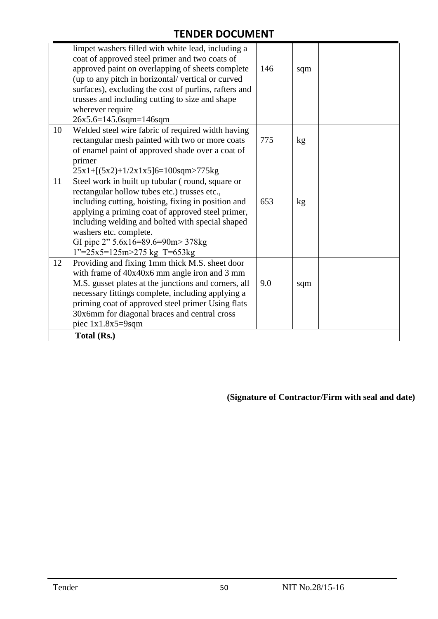|    | limpet washers filled with white lead, including a<br>coat of approved steel primer and two coats of |     |     |  |
|----|------------------------------------------------------------------------------------------------------|-----|-----|--|
|    | approved paint on overlapping of sheets complete                                                     | 146 | sqm |  |
|    | (up to any pitch in horizontal/vertical or curved                                                    |     |     |  |
|    | surfaces), excluding the cost of purlins, rafters and                                                |     |     |  |
|    | trusses and including cutting to size and shape                                                      |     |     |  |
|    | wherever require                                                                                     |     |     |  |
|    | 26x5.6=145.6sqm=146sqm                                                                               |     |     |  |
| 10 | Welded steel wire fabric of required width having                                                    |     |     |  |
|    | rectangular mesh painted with two or more coats                                                      | 775 | kg  |  |
|    | of enamel paint of approved shade over a coat of                                                     |     |     |  |
|    | primer                                                                                               |     |     |  |
|    | $25x1 + [(5x2) + 1/2x1x5]6 = 100$ sqm>775kg                                                          |     |     |  |
| 11 | Steel work in built up tubular (round, square or                                                     |     |     |  |
|    | rectangular hollow tubes etc.) trusses etc.,                                                         |     |     |  |
|    | including cutting, hoisting, fixing in position and                                                  | 653 | kg  |  |
|    | applying a priming coat of approved steel primer,                                                    |     |     |  |
|    | including welding and bolted with special shaped                                                     |     |     |  |
|    | washers etc. complete.                                                                               |     |     |  |
|    | GI pipe 2" 5.6x16=89.6=90m> 378kg                                                                    |     |     |  |
|    | $1"=25x5=125m>275$ kg T=653kg                                                                        |     |     |  |
| 12 | Providing and fixing 1mm thick M.S. sheet door                                                       |     |     |  |
|    | with frame of 40x40x6 mm angle iron and 3 mm                                                         |     |     |  |
|    | M.S. gusset plates at the junctions and corners, all                                                 | 9.0 | sqm |  |
|    | necessary fittings complete, including applying a                                                    |     |     |  |
|    | priming coat of approved steel primer Using flats                                                    |     |     |  |
|    | 30x6mm for diagonal braces and central cross                                                         |     |     |  |
|    | piec $1x1.8x5=9$ sqm                                                                                 |     |     |  |
|    | Total (Rs.)                                                                                          |     |     |  |

**(Signature of Contractor/Firm with seal and date)**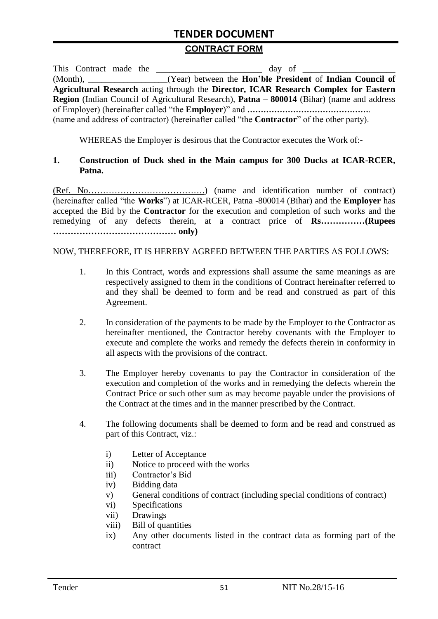#### **CONTRACT FORM**

| This Contract made the | day of                                                                                                   |
|------------------------|----------------------------------------------------------------------------------------------------------|
|                        | (Month), ____________________(Year) between the <b>Hon'ble President</b> of <b>Indian Council of</b>     |
|                        | Agricultural Research acting through the Director, ICAR Research Complex for Eastern                     |
|                        | <b>Region</b> (Indian Council of Agricultural Research), <b>Patna – 800014</b> (Bihar) (name and address |
|                        |                                                                                                          |
|                        | (name and address of contractor) (hereinafter called "the <b>Contractor</b> " of the other party).       |

WHEREAS the Employer is desirous that the Contractor executes the Work of:-

#### **1. Construction of Duck shed in the Main campus for 300 Ducks at ICAR-RCER, Patna.**

(Ref. No………………………………….) (name and identification number of contract) (hereinafter called "the **Works**") at ICAR-RCER, Patna -800014 (Bihar) and the **Employer** has accepted the Bid by the **Contractor** for the execution and completion of such works and the remedying of any defects therein, at a contract price of **Rs……………(Rupees …………………………………… only)**

#### NOW, THEREFORE, IT IS HEREBY AGREED BETWEEN THE PARTIES AS FOLLOWS:

- 1. In this Contract, words and expressions shall assume the same meanings as are respectively assigned to them in the conditions of Contract hereinafter referred to and they shall be deemed to form and be read and construed as part of this Agreement.
- 2. In consideration of the payments to be made by the Employer to the Contractor as hereinafter mentioned, the Contractor hereby covenants with the Employer to execute and complete the works and remedy the defects therein in conformity in all aspects with the provisions of the contract.
- 3. The Employer hereby covenants to pay the Contractor in consideration of the execution and completion of the works and in remedying the defects wherein the Contract Price or such other sum as may become payable under the provisions of the Contract at the times and in the manner prescribed by the Contract.
- 4. The following documents shall be deemed to form and be read and construed as part of this Contract, viz.:
	- i) Letter of Acceptance
	- ii) Notice to proceed with the works
	- iii) Contractor's Bid
	- iv) Bidding data
	- v) General conditions of contract (including special conditions of contract)
	- vi) Specifications
	- vii) Drawings
	- viii) Bill of quantities
	- ix) Any other documents listed in the contract data as forming part of the contract